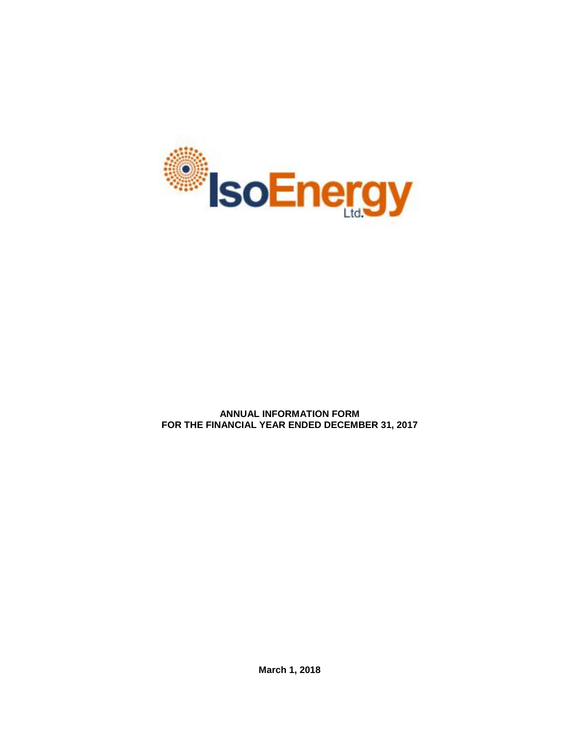

**ANNUAL INFORMATION FORM FOR THE FINANCIAL YEAR ENDED DECEMBER 31, 2017**

**March 1, 2018**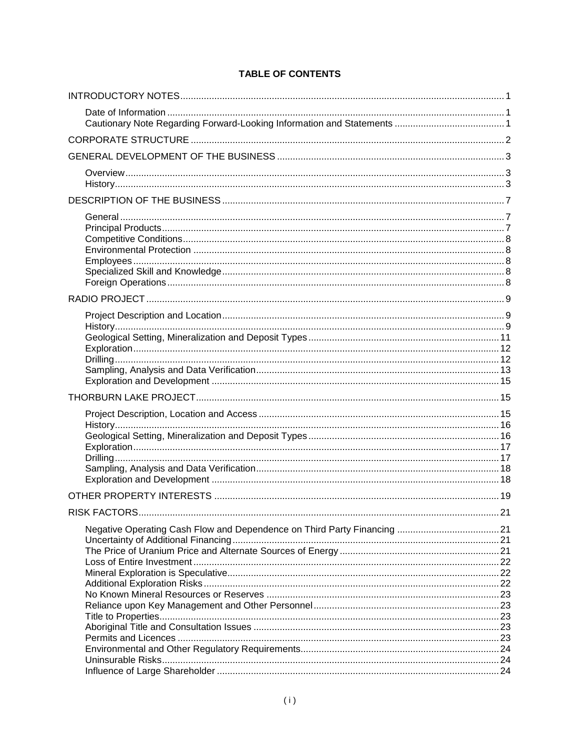# **TABLE OF CONTENTS**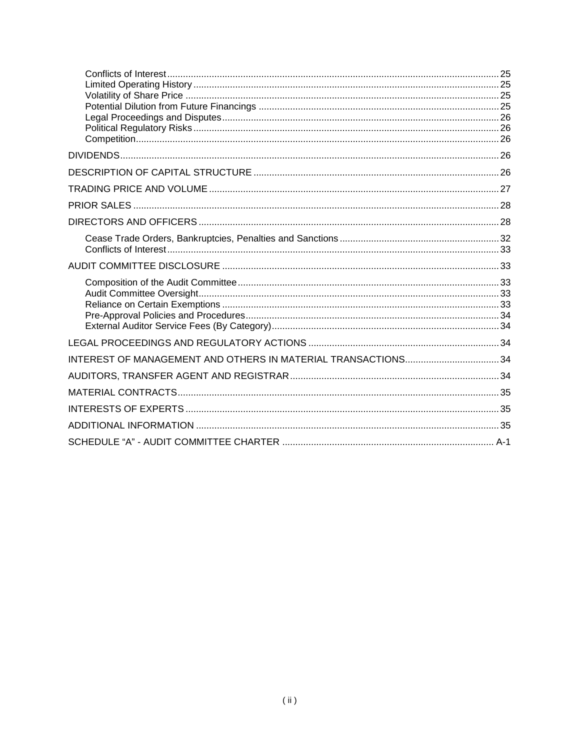| INTEREST OF MANAGEMENT AND OTHERS IN MATERIAL TRANSACTIONS 34 |  |
|---------------------------------------------------------------|--|
|                                                               |  |
|                                                               |  |
|                                                               |  |
|                                                               |  |
|                                                               |  |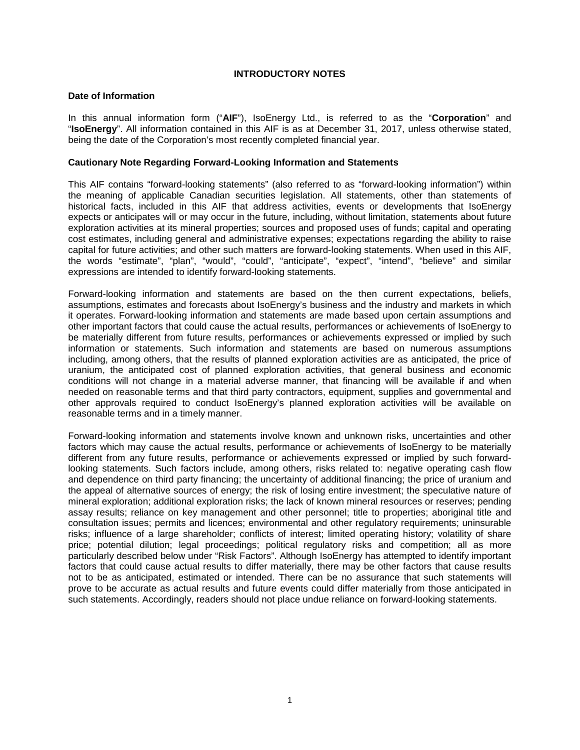# **INTRODUCTORY NOTES**

# <span id="page-3-1"></span><span id="page-3-0"></span>**Date of Information**

In this annual information form ("**AIF**"), IsoEnergy Ltd., is referred to as the "**Corporation**" and "**IsoEnergy**". All information contained in this AIF is as at December 31, 2017, unless otherwise stated, being the date of the Corporation's most recently completed financial year.

# <span id="page-3-2"></span>**Cautionary Note Regarding Forward-Looking Information and Statements**

This AIF contains "forward-looking statements" (also referred to as "forward-looking information") within the meaning of applicable Canadian securities legislation. All statements, other than statements of historical facts, included in this AIF that address activities, events or developments that IsoEnergy expects or anticipates will or may occur in the future, including, without limitation, statements about future exploration activities at its mineral properties; sources and proposed uses of funds; capital and operating cost estimates, including general and administrative expenses; expectations regarding the ability to raise capital for future activities; and other such matters are forward-looking statements. When used in this AIF, the words "estimate", "plan", "would", "could", "anticipate", "expect", "intend", "believe" and similar expressions are intended to identify forward-looking statements.

Forward-looking information and statements are based on the then current expectations, beliefs, assumptions, estimates and forecasts about IsoEnergy's business and the industry and markets in which it operates. Forward-looking information and statements are made based upon certain assumptions and other important factors that could cause the actual results, performances or achievements of IsoEnergy to be materially different from future results, performances or achievements expressed or implied by such information or statements. Such information and statements are based on numerous assumptions including, among others, that the results of planned exploration activities are as anticipated, the price of uranium, the anticipated cost of planned exploration activities, that general business and economic conditions will not change in a material adverse manner, that financing will be available if and when needed on reasonable terms and that third party contractors, equipment, supplies and governmental and other approvals required to conduct IsoEnergy's planned exploration activities will be available on reasonable terms and in a timely manner.

Forward-looking information and statements involve known and unknown risks, uncertainties and other factors which may cause the actual results, performance or achievements of IsoEnergy to be materially different from any future results, performance or achievements expressed or implied by such forwardlooking statements. Such factors include, among others, risks related to: negative operating cash flow and dependence on third party financing; the uncertainty of additional financing; the price of uranium and the appeal of alternative sources of energy; the risk of losing entire investment; the speculative nature of mineral exploration; additional exploration risks; the lack of known mineral resources or reserves; pending assay results; reliance on key management and other personnel; title to properties; aboriginal title and consultation issues; permits and licences; environmental and other regulatory requirements; uninsurable risks; influence of a large shareholder; conflicts of interest; limited operating history; volatility of share price; potential dilution; legal proceedings; political regulatory risks and competition; all as more particularly described below under "Risk Factors". Although IsoEnergy has attempted to identify important factors that could cause actual results to differ materially, there may be other factors that cause results not to be as anticipated, estimated or intended. There can be no assurance that such statements will prove to be accurate as actual results and future events could differ materially from those anticipated in such statements. Accordingly, readers should not place undue reliance on forward-looking statements.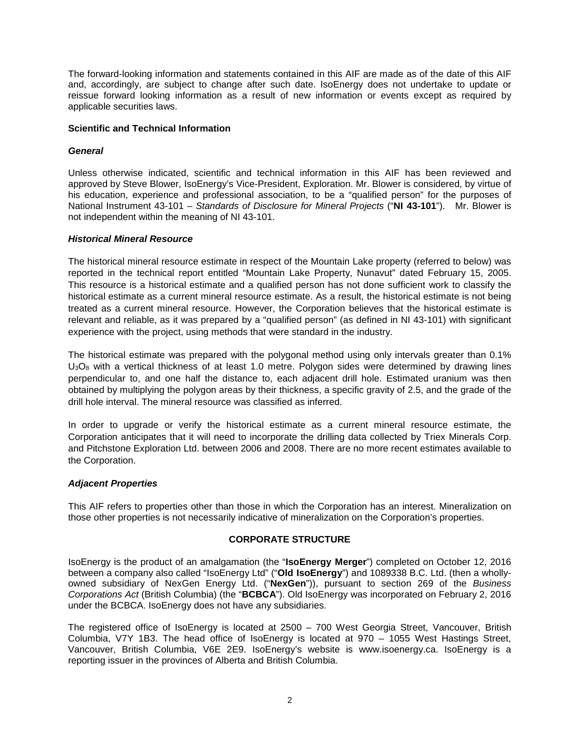The forward-looking information and statements contained in this AIF are made as of the date of this AIF and, accordingly, are subject to change after such date. IsoEnergy does not undertake to update or reissue forward looking information as a result of new information or events except as required by applicable securities laws.

# **Scientific and Technical Information**

# *General*

Unless otherwise indicated, scientific and technical information in this AIF has been reviewed and approved by Steve Blower, IsoEnergy's Vice-President, Exploration. Mr. Blower is considered, by virtue of his education, experience and professional association, to be a "qualified person" for the purposes of National Instrument 43-101 – *Standards of Disclosure for Mineral Projects* ("**NI 43-101**"). Mr. Blower is not independent within the meaning of NI 43-101.

# *Historical Mineral Resource*

The historical mineral resource estimate in respect of the Mountain Lake property (referred to below) was reported in the technical report entitled "Mountain Lake Property, Nunavut" dated February 15, 2005. This resource is a historical estimate and a qualified person has not done sufficient work to classify the historical estimate as a current mineral resource estimate. As a result, the historical estimate is not being treated as a current mineral resource. However, the Corporation believes that the historical estimate is relevant and reliable, as it was prepared by a "qualified person" (as defined in NI 43-101) with significant experience with the project, using methods that were standard in the industry.

The historical estimate was prepared with the polygonal method using only intervals greater than 0.1%  $U_3O_8$  with a vertical thickness of at least 1.0 metre. Polygon sides were determined by drawing lines perpendicular to, and one half the distance to, each adjacent drill hole. Estimated uranium was then obtained by multiplying the polygon areas by their thickness, a specific gravity of 2.5, and the grade of the drill hole interval. The mineral resource was classified as inferred.

In order to upgrade or verify the historical estimate as a current mineral resource estimate, the Corporation anticipates that it will need to incorporate the drilling data collected by Triex Minerals Corp. and Pitchstone Exploration Ltd. between 2006 and 2008. There are no more recent estimates available to the Corporation.

# *Adjacent Properties*

This AIF refers to properties other than those in which the Corporation has an interest. Mineralization on those other properties is not necessarily indicative of mineralization on the Corporation's properties.

# **CORPORATE STRUCTURE**

<span id="page-4-0"></span>IsoEnergy is the product of an amalgamation (the "**IsoEnergy Merger**") completed on October 12, 2016 between a company also called "IsoEnergy Ltd" ("**Old IsoEnergy**") and 1089338 B.C. Ltd. (then a whollyowned subsidiary of NexGen Energy Ltd. ("**NexGen**")), pursuant to section 269 of the *Business Corporations Act* (British Columbia) (the "**BCBCA**"). Old IsoEnergy was incorporated on February 2, 2016 under the BCBCA. IsoEnergy does not have any subsidiaries.

The registered office of IsoEnergy is located at 2500 – 700 West Georgia Street, Vancouver, British Columbia, V7Y 1B3. The head office of IsoEnergy is located at 970 – 1055 West Hastings Street, Vancouver, British Columbia, V6E 2E9. IsoEnergy's website is www.isoenergy.ca. IsoEnergy is a reporting issuer in the provinces of Alberta and British Columbia.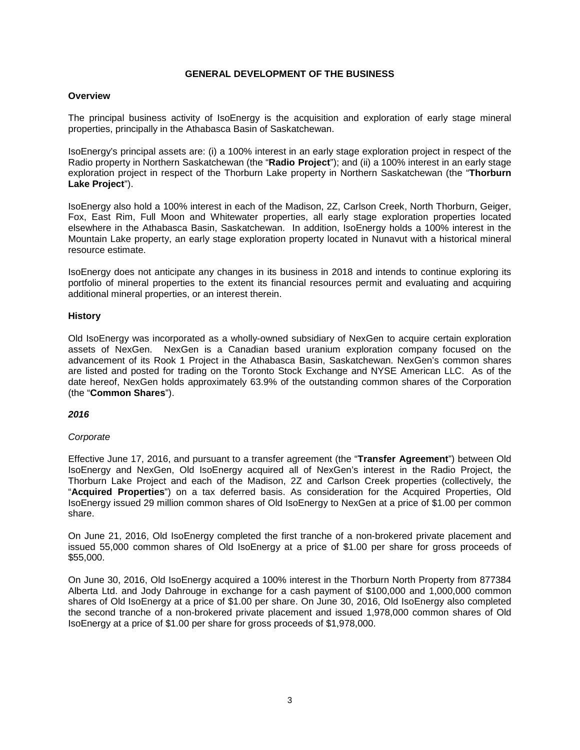# **GENERAL DEVELOPMENT OF THE BUSINESS**

# <span id="page-5-1"></span><span id="page-5-0"></span>**Overview**

The principal business activity of IsoEnergy is the acquisition and exploration of early stage mineral properties, principally in the Athabasca Basin of Saskatchewan.

IsoEnergy's principal assets are: (i) a 100% interest in an early stage exploration project in respect of the Radio property in Northern Saskatchewan (the "**Radio Project**"); and (ii) a 100% interest in an early stage exploration project in respect of the Thorburn Lake property in Northern Saskatchewan (the "**Thorburn Lake Project**").

IsoEnergy also hold a 100% interest in each of the Madison, 2Z, Carlson Creek, North Thorburn, Geiger, Fox, East Rim, Full Moon and Whitewater properties, all early stage exploration properties located elsewhere in the Athabasca Basin, Saskatchewan. In addition, IsoEnergy holds a 100% interest in the Mountain Lake property, an early stage exploration property located in Nunavut with a historical mineral resource estimate.

IsoEnergy does not anticipate any changes in its business in 2018 and intends to continue exploring its portfolio of mineral properties to the extent its financial resources permit and evaluating and acquiring additional mineral properties, or an interest therein.

# <span id="page-5-2"></span>**History**

Old IsoEnergy was incorporated as a wholly-owned subsidiary of NexGen to acquire certain exploration assets of NexGen. NexGen is a Canadian based uranium exploration company focused on the advancement of its Rook 1 Project in the Athabasca Basin, Saskatchewan. NexGen's common shares are listed and posted for trading on the Toronto Stock Exchange and NYSE American LLC. As of the date hereof, NexGen holds approximately 63.9% of the outstanding common shares of the Corporation (the "**Common Shares**").

# *2016*

# *Corporate*

Effective June 17, 2016, and pursuant to a transfer agreement (the "**Transfer Agreement**") between Old IsoEnergy and NexGen, Old IsoEnergy acquired all of NexGen's interest in the Radio Project, the Thorburn Lake Project and each of the Madison, 2Z and Carlson Creek properties (collectively, the "**Acquired Properties**") on a tax deferred basis. As consideration for the Acquired Properties, Old IsoEnergy issued 29 million common shares of Old IsoEnergy to NexGen at a price of \$1.00 per common share.

On June 21, 2016, Old IsoEnergy completed the first tranche of a non-brokered private placement and issued 55,000 common shares of Old IsoEnergy at a price of \$1.00 per share for gross proceeds of \$55,000.

On June 30, 2016, Old IsoEnergy acquired a 100% interest in the Thorburn North Property from 877384 Alberta Ltd. and Jody Dahrouge in exchange for a cash payment of \$100,000 and 1,000,000 common shares of Old IsoEnergy at a price of \$1.00 per share. On June 30, 2016, Old IsoEnergy also completed the second tranche of a non-brokered private placement and issued 1,978,000 common shares of Old IsoEnergy at a price of \$1.00 per share for gross proceeds of \$1,978,000.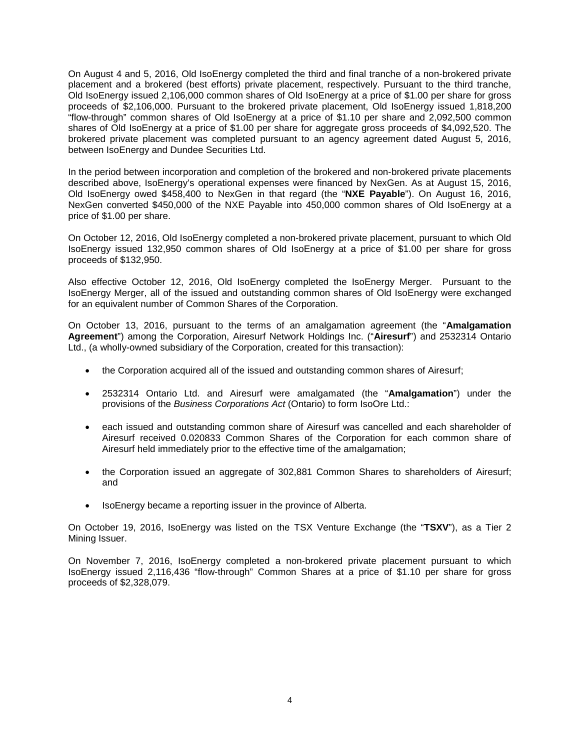On August 4 and 5, 2016, Old IsoEnergy completed the third and final tranche of a non-brokered private placement and a brokered (best efforts) private placement, respectively. Pursuant to the third tranche, Old IsoEnergy issued 2,106,000 common shares of Old IsoEnergy at a price of \$1.00 per share for gross proceeds of \$2,106,000. Pursuant to the brokered private placement, Old IsoEnergy issued 1,818,200 "flow-through" common shares of Old IsoEnergy at a price of \$1.10 per share and 2,092,500 common shares of Old IsoEnergy at a price of \$1.00 per share for aggregate gross proceeds of \$4,092,520. The brokered private placement was completed pursuant to an agency agreement dated August 5, 2016, between IsoEnergy and Dundee Securities Ltd.

In the period between incorporation and completion of the brokered and non-brokered private placements described above, IsoEnergy's operational expenses were financed by NexGen. As at August 15, 2016, Old IsoEnergy owed \$458,400 to NexGen in that regard (the "**NXE Payable**"). On August 16, 2016, NexGen converted \$450,000 of the NXE Payable into 450,000 common shares of Old IsoEnergy at a price of \$1.00 per share.

On October 12, 2016, Old IsoEnergy completed a non-brokered private placement, pursuant to which Old IsoEnergy issued 132,950 common shares of Old IsoEnergy at a price of \$1.00 per share for gross proceeds of \$132,950.

Also effective October 12, 2016, Old IsoEnergy completed the IsoEnergy Merger. Pursuant to the IsoEnergy Merger, all of the issued and outstanding common shares of Old IsoEnergy were exchanged for an equivalent number of Common Shares of the Corporation.

On October 13, 2016, pursuant to the terms of an amalgamation agreement (the "**Amalgamation Agreement**") among the Corporation, Airesurf Network Holdings Inc. ("**Airesurf**") and 2532314 Ontario Ltd., (a wholly-owned subsidiary of the Corporation, created for this transaction):

- the Corporation acquired all of the issued and outstanding common shares of Airesurf;
- 2532314 Ontario Ltd. and Airesurf were amalgamated (the "**Amalgamation**") under the provisions of the *Business Corporations Act* (Ontario) to form IsoOre Ltd.:
- each issued and outstanding common share of Airesurf was cancelled and each shareholder of Airesurf received 0.020833 Common Shares of the Corporation for each common share of Airesurf held immediately prior to the effective time of the amalgamation;
- the Corporation issued an aggregate of 302,881 Common Shares to shareholders of Airesurf; and
- IsoEnergy became a reporting issuer in the province of Alberta.

On October 19, 2016, IsoEnergy was listed on the TSX Venture Exchange (the "**TSXV**"), as a Tier 2 Mining Issuer.

On November 7, 2016, IsoEnergy completed a non-brokered private placement pursuant to which IsoEnergy issued 2,116,436 "flow-through" Common Shares at a price of \$1.10 per share for gross proceeds of \$2,328,079.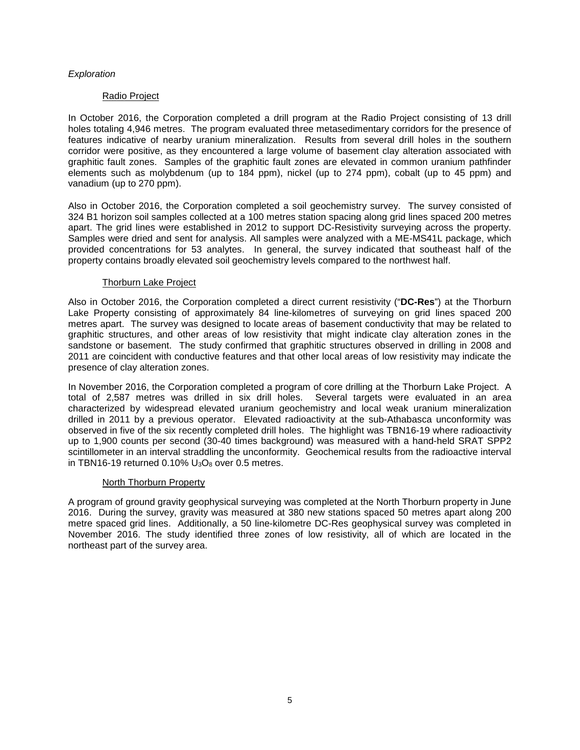# *Exploration*

# Radio Project

In October 2016, the Corporation completed a drill program at the Radio Project consisting of 13 drill holes totaling 4,946 metres. The program evaluated three metasedimentary corridors for the presence of features indicative of nearby uranium mineralization. Results from several drill holes in the southern corridor were positive, as they encountered a large volume of basement clay alteration associated with graphitic fault zones. Samples of the graphitic fault zones are elevated in common uranium pathfinder elements such as molybdenum (up to 184 ppm), nickel (up to 274 ppm), cobalt (up to 45 ppm) and vanadium (up to 270 ppm).

Also in October 2016, the Corporation completed a soil geochemistry survey. The survey consisted of 324 B1 horizon soil samples collected at a 100 metres station spacing along grid lines spaced 200 metres apart. The grid lines were established in 2012 to support DC-Resistivity surveying across the property. Samples were dried and sent for analysis. All samples were analyzed with a ME-MS41L package, which provided concentrations for 53 analytes. In general, the survey indicated that southeast half of the property contains broadly elevated soil geochemistry levels compared to the northwest half.

# Thorburn Lake Project

Also in October 2016, the Corporation completed a direct current resistivity ("**DC-Res**") at the Thorburn Lake Property consisting of approximately 84 line-kilometres of surveying on grid lines spaced 200 metres apart. The survey was designed to locate areas of basement conductivity that may be related to graphitic structures, and other areas of low resistivity that might indicate clay alteration zones in the sandstone or basement. The study confirmed that graphitic structures observed in drilling in 2008 and 2011 are coincident with conductive features and that other local areas of low resistivity may indicate the presence of clay alteration zones.

In November 2016, the Corporation completed a program of core drilling at the Thorburn Lake Project. A total of 2,587 metres was drilled in six drill holes. Several targets were evaluated in an area characterized by widespread elevated uranium geochemistry and local weak uranium mineralization drilled in 2011 by a previous operator. Elevated radioactivity at the sub-Athabasca unconformity was observed in five of the six recently completed drill holes. The highlight was TBN16-19 where radioactivity up to 1,900 counts per second (30-40 times background) was measured with a hand-held SRAT SPP2 scintillometer in an interval straddling the unconformity. Geochemical results from the radioactive interval in TBN16-19 returned  $0.10\%$  U<sub>3</sub>O<sub>8</sub> over 0.5 metres.

# North Thorburn Property

A program of ground gravity geophysical surveying was completed at the North Thorburn property in June 2016. During the survey, gravity was measured at 380 new stations spaced 50 metres apart along 200 metre spaced grid lines. Additionally, a 50 line-kilometre DC-Res geophysical survey was completed in November 2016. The study identified three zones of low resistivity, all of which are located in the northeast part of the survey area.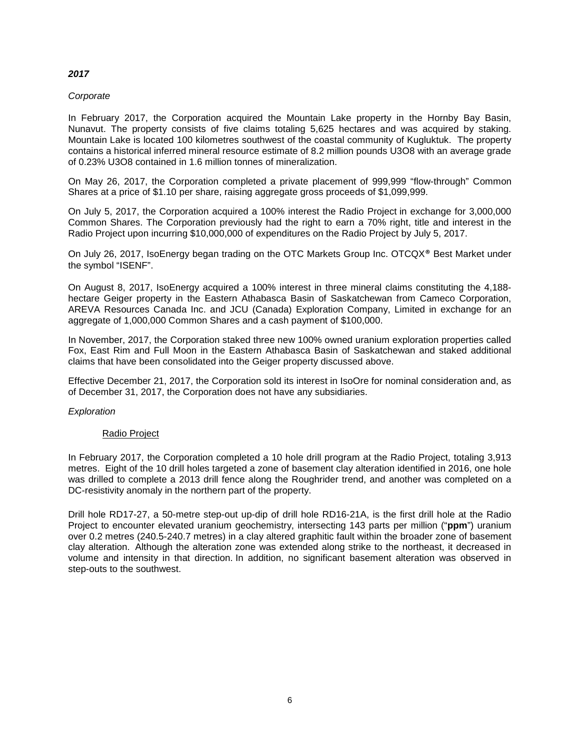# *2017*

# *Corporate*

In February 2017, the Corporation acquired the Mountain Lake property in the Hornby Bay Basin, Nunavut. The property consists of five claims totaling 5,625 hectares and was acquired by staking. Mountain Lake is located 100 kilometres southwest of the coastal community of Kugluktuk. The property contains a historical inferred mineral resource estimate of 8.2 million pounds U3O8 with an average grade of 0.23% U3O8 contained in 1.6 million tonnes of mineralization.

On May 26, 2017, the Corporation completed a private placement of 999,999 "flow-through" Common Shares at a price of \$1.10 per share, raising aggregate gross proceeds of \$1,099,999.

On July 5, 2017, the Corporation acquired a 100% interest the Radio Project in exchange for 3,000,000 Common Shares. The Corporation previously had the right to earn a 70% right, title and interest in the Radio Project upon incurring \$10,000,000 of expenditures on the Radio Project by July 5, 2017.

On July 26, 2017, IsoEnergy began trading on the OTC Markets Group Inc. OTCQX® Best Market under the symbol "ISENF".

On August 8, 2017, IsoEnergy acquired a 100% interest in three mineral claims constituting the 4,188 hectare Geiger property in the Eastern Athabasca Basin of Saskatchewan from Cameco Corporation, AREVA Resources Canada Inc. and JCU (Canada) Exploration Company, Limited in exchange for an aggregate of 1,000,000 Common Shares and a cash payment of \$100,000.

In November, 2017, the Corporation staked three new 100% owned uranium exploration properties called Fox, East Rim and Full Moon in the Eastern Athabasca Basin of Saskatchewan and staked additional claims that have been consolidated into the Geiger property discussed above.

Effective December 21, 2017, the Corporation sold its interest in IsoOre for nominal consideration and, as of December 31, 2017, the Corporation does not have any subsidiaries.

# *Exploration*

# Radio Project

In February 2017, the Corporation completed a 10 hole drill program at the Radio Project, totaling 3,913 metres. Eight of the 10 drill holes targeted a zone of basement clay alteration identified in 2016, one hole was drilled to complete a 2013 drill fence along the Roughrider trend, and another was completed on a DC-resistivity anomaly in the northern part of the property.

Drill hole RD17-27, a 50-metre step-out up-dip of drill hole RD16-21A, is the first drill hole at the Radio Project to encounter elevated uranium geochemistry, intersecting 143 parts per million ("**ppm**") uranium over 0.2 metres (240.5-240.7 metres) in a clay altered graphitic fault within the broader zone of basement clay alteration. Although the alteration zone was extended along strike to the northeast, it decreased in volume and intensity in that direction. In addition, no significant basement alteration was observed in step-outs to the southwest.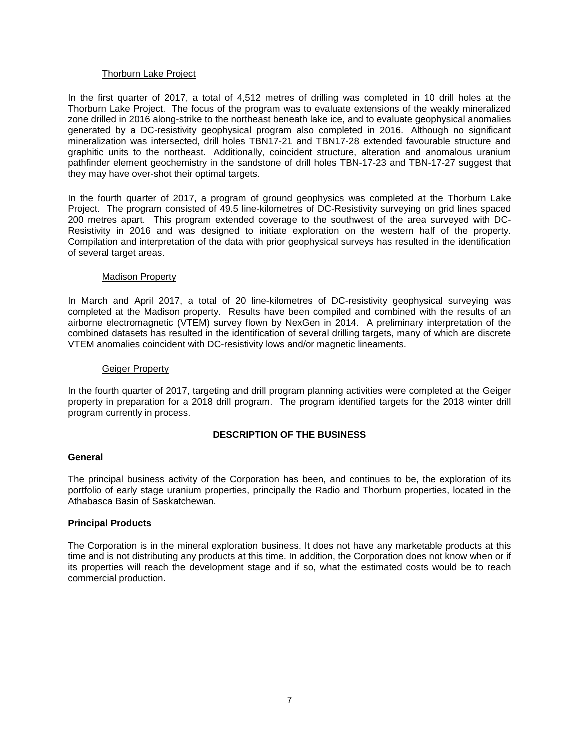# Thorburn Lake Project

In the first quarter of 2017, a total of 4,512 metres of drilling was completed in 10 drill holes at the Thorburn Lake Project. The focus of the program was to evaluate extensions of the weakly mineralized zone drilled in 2016 along-strike to the northeast beneath lake ice, and to evaluate geophysical anomalies generated by a DC-resistivity geophysical program also completed in 2016. Although no significant mineralization was intersected, drill holes TBN17-21 and TBN17-28 extended favourable structure and graphitic units to the northeast. Additionally, coincident structure, alteration and anomalous uranium pathfinder element geochemistry in the sandstone of drill holes TBN-17-23 and TBN-17-27 suggest that they may have over-shot their optimal targets.

In the fourth quarter of 2017, a program of ground geophysics was completed at the Thorburn Lake Project. The program consisted of 49.5 line-kilometres of DC-Resistivity surveying on grid lines spaced 200 metres apart. This program extended coverage to the southwest of the area surveyed with DC-Resistivity in 2016 and was designed to initiate exploration on the western half of the property. Compilation and interpretation of the data with prior geophysical surveys has resulted in the identification of several target areas.

# Madison Property

In March and April 2017, a total of 20 line-kilometres of DC-resistivity geophysical surveying was completed at the Madison property. Results have been compiled and combined with the results of an airborne electromagnetic (VTEM) survey flown by NexGen in 2014. A preliminary interpretation of the combined datasets has resulted in the identification of several drilling targets, many of which are discrete VTEM anomalies coincident with DC-resistivity lows and/or magnetic lineaments.

# Geiger Property

In the fourth quarter of 2017, targeting and drill program planning activities were completed at the Geiger property in preparation for a 2018 drill program. The program identified targets for the 2018 winter drill program currently in process.

# **DESCRIPTION OF THE BUSINESS**

# <span id="page-9-1"></span><span id="page-9-0"></span>**General**

The principal business activity of the Corporation has been, and continues to be, the exploration of its portfolio of early stage uranium properties, principally the Radio and Thorburn properties, located in the Athabasca Basin of Saskatchewan.

# <span id="page-9-2"></span>**Principal Products**

The Corporation is in the mineral exploration business. It does not have any marketable products at this time and is not distributing any products at this time. In addition, the Corporation does not know when or if its properties will reach the development stage and if so, what the estimated costs would be to reach commercial production.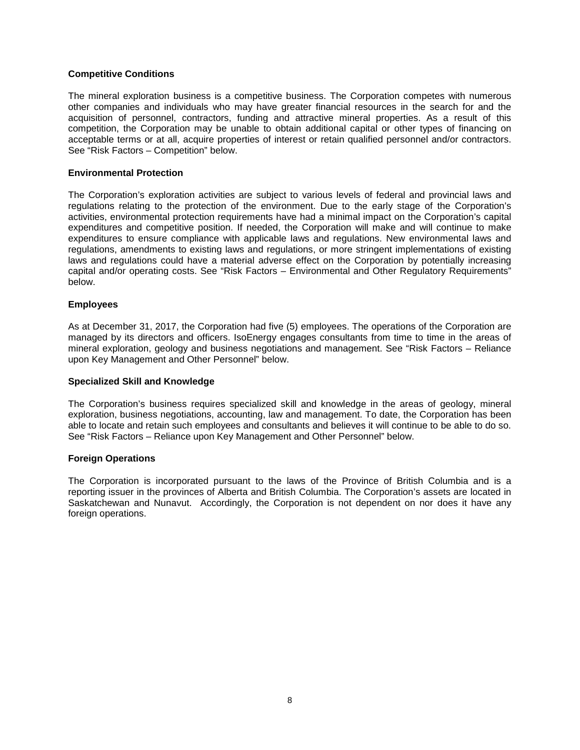# <span id="page-10-0"></span>**Competitive Conditions**

The mineral exploration business is a competitive business. The Corporation competes with numerous other companies and individuals who may have greater financial resources in the search for and the acquisition of personnel, contractors, funding and attractive mineral properties. As a result of this competition, the Corporation may be unable to obtain additional capital or other types of financing on acceptable terms or at all, acquire properties of interest or retain qualified personnel and/or contractors. See "Risk Factors – Competition" below.

# <span id="page-10-1"></span>**Environmental Protection**

The Corporation's exploration activities are subject to various levels of federal and provincial laws and regulations relating to the protection of the environment. Due to the early stage of the Corporation's activities, environmental protection requirements have had a minimal impact on the Corporation's capital expenditures and competitive position. If needed, the Corporation will make and will continue to make expenditures to ensure compliance with applicable laws and regulations. New environmental laws and regulations, amendments to existing laws and regulations, or more stringent implementations of existing laws and regulations could have a material adverse effect on the Corporation by potentially increasing capital and/or operating costs. See "Risk Factors – Environmental and Other Regulatory Requirements" below.

#### <span id="page-10-2"></span>**Employees**

As at December 31, 2017, the Corporation had five (5) employees. The operations of the Corporation are managed by its directors and officers. IsoEnergy engages consultants from time to time in the areas of mineral exploration, geology and business negotiations and management. See "Risk Factors – Reliance upon Key Management and Other Personnel" below.

#### <span id="page-10-3"></span>**Specialized Skill and Knowledge**

The Corporation's business requires specialized skill and knowledge in the areas of geology, mineral exploration, business negotiations, accounting, law and management. To date, the Corporation has been able to locate and retain such employees and consultants and believes it will continue to be able to do so. See "Risk Factors – Reliance upon Key Management and Other Personnel" below.

# <span id="page-10-4"></span>**Foreign Operations**

The Corporation is incorporated pursuant to the laws of the Province of British Columbia and is a reporting issuer in the provinces of Alberta and British Columbia. The Corporation's assets are located in Saskatchewan and Nunavut. Accordingly, the Corporation is not dependent on nor does it have any foreign operations.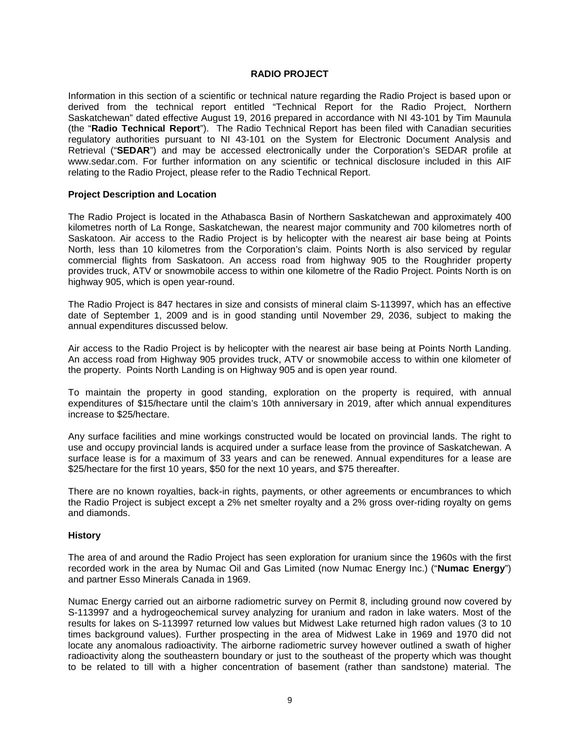# **RADIO PROJECT**

<span id="page-11-0"></span>Information in this section of a scientific or technical nature regarding the Radio Project is based upon or derived from the technical report entitled "Technical Report for the Radio Project, Northern Saskatchewan" dated effective August 19, 2016 prepared in accordance with NI 43-101 by Tim Maunula (the "**Radio Technical Report**"). The Radio Technical Report has been filed with Canadian securities regulatory authorities pursuant to NI 43-101 on the System for Electronic Document Analysis and Retrieval ("**SEDAR**") and may be accessed electronically under the Corporation's SEDAR profile at www.sedar.com. For further information on any scientific or technical disclosure included in this AIF relating to the Radio Project, please refer to the Radio Technical Report.

#### <span id="page-11-1"></span>**Project Description and Location**

The Radio Project is located in the Athabasca Basin of Northern Saskatchewan and approximately 400 kilometres north of La Ronge, Saskatchewan, the nearest major community and 700 kilometres north of Saskatoon. Air access to the Radio Project is by helicopter with the nearest air base being at Points North, less than 10 kilometres from the Corporation's claim. Points North is also serviced by regular commercial flights from Saskatoon. An access road from highway 905 to the Roughrider property provides truck, ATV or snowmobile access to within one kilometre of the Radio Project. Points North is on highway 905, which is open year-round.

The Radio Project is 847 hectares in size and consists of mineral claim S-113997, which has an effective date of September 1, 2009 and is in good standing until November 29, 2036, subject to making the annual expenditures discussed below.

Air access to the Radio Project is by helicopter with the nearest air base being at Points North Landing. An access road from Highway 905 provides truck, ATV or snowmobile access to within one kilometer of the property. Points North Landing is on Highway 905 and is open year round.

To maintain the property in good standing, exploration on the property is required, with annual expenditures of \$15/hectare until the claim's 10th anniversary in 2019, after which annual expenditures increase to \$25/hectare.

Any surface facilities and mine workings constructed would be located on provincial lands. The right to use and occupy provincial lands is acquired under a surface lease from the province of Saskatchewan. A surface lease is for a maximum of 33 years and can be renewed. Annual expenditures for a lease are \$25/hectare for the first 10 years, \$50 for the next 10 years, and \$75 thereafter.

There are no known royalties, back-in rights, payments, or other agreements or encumbrances to which the Radio Project is subject except a 2% net smelter royalty and a 2% gross over-riding royalty on gems and diamonds.

#### <span id="page-11-2"></span>**History**

The area of and around the Radio Project has seen exploration for uranium since the 1960s with the first recorded work in the area by Numac Oil and Gas Limited (now Numac Energy Inc.) ("**Numac Energy**") and partner Esso Minerals Canada in 1969.

Numac Energy carried out an airborne radiometric survey on Permit 8, including ground now covered by S-113997 and a hydrogeochemical survey analyzing for uranium and radon in lake waters. Most of the results for lakes on S-113997 returned low values but Midwest Lake returned high radon values (3 to 10 times background values). Further prospecting in the area of Midwest Lake in 1969 and 1970 did not locate any anomalous radioactivity. The airborne radiometric survey however outlined a swath of higher radioactivity along the southeastern boundary or just to the southeast of the property which was thought to be related to till with a higher concentration of basement (rather than sandstone) material. The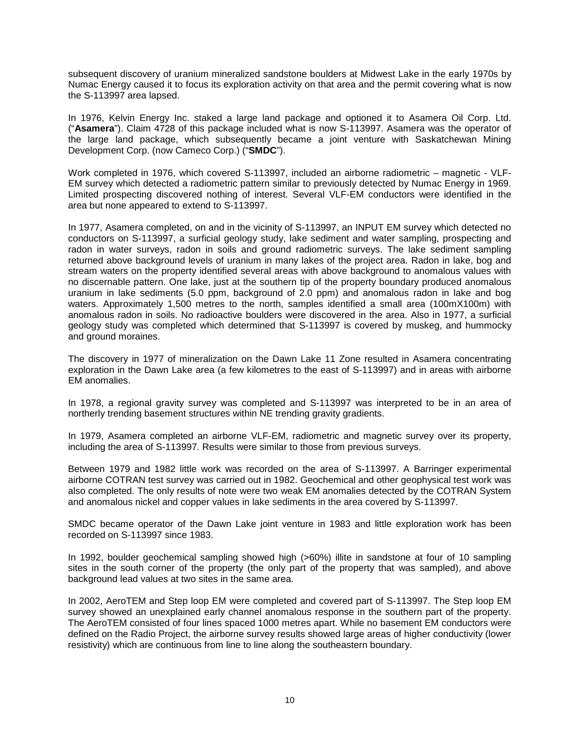subsequent discovery of uranium mineralized sandstone boulders at Midwest Lake in the early 1970s by Numac Energy caused it to focus its exploration activity on that area and the permit covering what is now the S-113997 area lapsed.

In 1976, Kelvin Energy Inc. staked a large land package and optioned it to Asamera Oil Corp. Ltd. ("**Asamera**"). Claim 4728 of this package included what is now S-113997. Asamera was the operator of the large land package, which subsequently became a joint venture with Saskatchewan Mining Development Corp. (now Cameco Corp.) ("**SMDC**").

Work completed in 1976, which covered S-113997, included an airborne radiometric – magnetic - VLF-EM survey which detected a radiometric pattern similar to previously detected by Numac Energy in 1969. Limited prospecting discovered nothing of interest. Several VLF-EM conductors were identified in the area but none appeared to extend to S-113997.

In 1977, Asamera completed, on and in the vicinity of S-113997, an INPUT EM survey which detected no conductors on S-113997, a surficial geology study, lake sediment and water sampling, prospecting and radon in water surveys, radon in soils and ground radiometric surveys. The lake sediment sampling returned above background levels of uranium in many lakes of the project area. Radon in lake, bog and stream waters on the property identified several areas with above background to anomalous values with no discernable pattern. One lake, just at the southern tip of the property boundary produced anomalous uranium in lake sediments (5.0 ppm, background of 2.0 ppm) and anomalous radon in lake and bog waters. Approximately 1,500 metres to the north, samples identified a small area (100mX100m) with anomalous radon in soils. No radioactive boulders were discovered in the area. Also in 1977, a surficial geology study was completed which determined that S-113997 is covered by muskeg, and hummocky and ground moraines.

The discovery in 1977 of mineralization on the Dawn Lake 11 Zone resulted in Asamera concentrating exploration in the Dawn Lake area (a few kilometres to the east of S-113997) and in areas with airborne EM anomalies.

In 1978, a regional gravity survey was completed and S-113997 was interpreted to be in an area of northerly trending basement structures within NE trending gravity gradients.

In 1979, Asamera completed an airborne VLF-EM, radiometric and magnetic survey over its property, including the area of S-113997. Results were similar to those from previous surveys.

Between 1979 and 1982 little work was recorded on the area of S-113997. A Barringer experimental airborne COTRAN test survey was carried out in 1982. Geochemical and other geophysical test work was also completed. The only results of note were two weak EM anomalies detected by the COTRAN System and anomalous nickel and copper values in lake sediments in the area covered by S-113997.

SMDC became operator of the Dawn Lake joint venture in 1983 and little exploration work has been recorded on S-113997 since 1983.

In 1992, boulder geochemical sampling showed high (>60%) illite in sandstone at four of 10 sampling sites in the south corner of the property (the only part of the property that was sampled), and above background lead values at two sites in the same area.

In 2002, AeroTEM and Step loop EM were completed and covered part of S-113997. The Step loop EM survey showed an unexplained early channel anomalous response in the southern part of the property. The AeroTEM consisted of four lines spaced 1000 metres apart. While no basement EM conductors were defined on the Radio Project, the airborne survey results showed large areas of higher conductivity (lower resistivity) which are continuous from line to line along the southeastern boundary.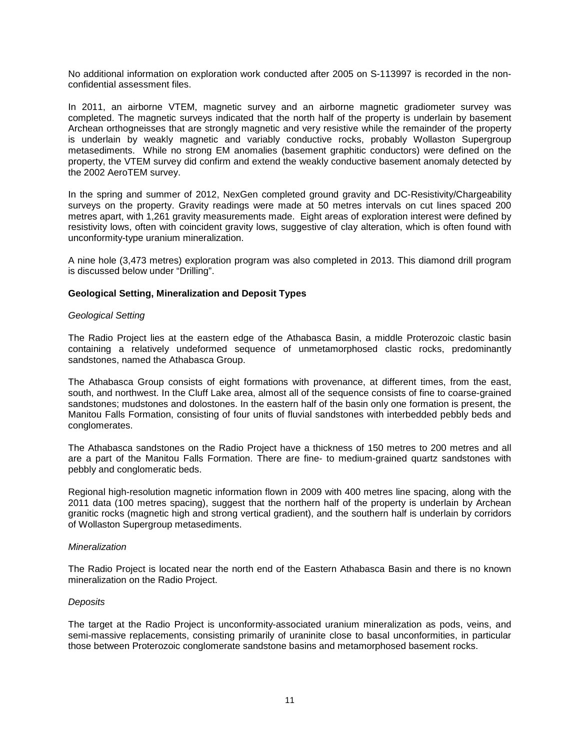No additional information on exploration work conducted after 2005 on S-113997 is recorded in the nonconfidential assessment files.

In 2011, an airborne VTEM, magnetic survey and an airborne magnetic gradiometer survey was completed. The magnetic surveys indicated that the north half of the property is underlain by basement Archean orthogneisses that are strongly magnetic and very resistive while the remainder of the property is underlain by weakly magnetic and variably conductive rocks, probably Wollaston Supergroup metasediments. While no strong EM anomalies (basement graphitic conductors) were defined on the property, the VTEM survey did confirm and extend the weakly conductive basement anomaly detected by the 2002 AeroTEM survey.

In the spring and summer of 2012, NexGen completed ground gravity and DC-Resistivity/Chargeability surveys on the property. Gravity readings were made at 50 metres intervals on cut lines spaced 200 metres apart, with 1,261 gravity measurements made. Eight areas of exploration interest were defined by resistivity lows, often with coincident gravity lows, suggestive of clay alteration, which is often found with unconformity-type uranium mineralization.

A nine hole (3,473 metres) exploration program was also completed in 2013. This diamond drill program is discussed below under "Drilling".

# <span id="page-13-0"></span>**Geological Setting, Mineralization and Deposit Types**

#### *Geological Setting*

The Radio Project lies at the eastern edge of the Athabasca Basin, a middle Proterozoic clastic basin containing a relatively undeformed sequence of unmetamorphosed clastic rocks, predominantly sandstones, named the Athabasca Group.

The Athabasca Group consists of eight formations with provenance, at different times, from the east, south, and northwest. In the Cluff Lake area, almost all of the sequence consists of fine to coarse-grained sandstones; mudstones and dolostones. In the eastern half of the basin only one formation is present, the Manitou Falls Formation, consisting of four units of fluvial sandstones with interbedded pebbly beds and conglomerates.

The Athabasca sandstones on the Radio Project have a thickness of 150 metres to 200 metres and all are a part of the Manitou Falls Formation. There are fine- to medium-grained quartz sandstones with pebbly and conglomeratic beds.

Regional high-resolution magnetic information flown in 2009 with 400 metres line spacing, along with the 2011 data (100 metres spacing), suggest that the northern half of the property is underlain by Archean granitic rocks (magnetic high and strong vertical gradient), and the southern half is underlain by corridors of Wollaston Supergroup metasediments.

# *Mineralization*

The Radio Project is located near the north end of the Eastern Athabasca Basin and there is no known mineralization on the Radio Project.

#### *Deposits*

The target at the Radio Project is unconformity-associated uranium mineralization as pods, veins, and semi-massive replacements, consisting primarily of uraninite close to basal unconformities, in particular those between Proterozoic conglomerate sandstone basins and metamorphosed basement rocks.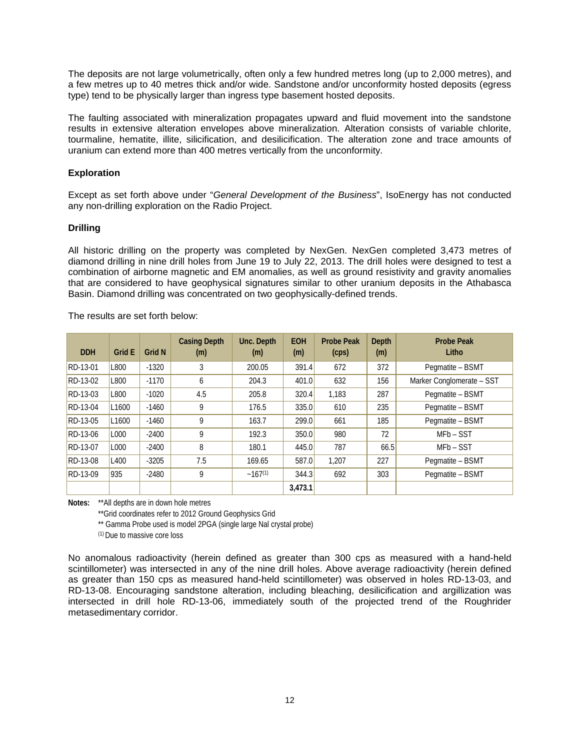The deposits are not large volumetrically, often only a few hundred metres long (up to 2,000 metres), and a few metres up to 40 metres thick and/or wide. Sandstone and/or unconformity hosted deposits (egress type) tend to be physically larger than ingress type basement hosted deposits.

The faulting associated with mineralization propagates upward and fluid movement into the sandstone results in extensive alteration envelopes above mineralization. Alteration consists of variable chlorite, tourmaline, hematite, illite, silicification, and desilicification. The alteration zone and trace amounts of uranium can extend more than 400 metres vertically from the unconformity.

# <span id="page-14-0"></span>**Exploration**

Except as set forth above under "*General Development of the Business*", IsoEnergy has not conducted any non-drilling exploration on the Radio Project.

# <span id="page-14-1"></span>**Drilling**

All historic drilling on the property was completed by NexGen. NexGen completed 3,473 metres of diamond drilling in nine drill holes from June 19 to July 22, 2013. The drill holes were designed to test a combination of airborne magnetic and EM anomalies, as well as ground resistivity and gravity anomalies that are considered to have geophysical signatures similar to other uranium deposits in the Athabasca Basin. Diamond drilling was concentrated on two geophysically-defined trends.

The results are set forth below:

| <b>DDH</b> | <b>Grid E</b> | <b>Grid N</b> | <b>Casing Depth</b><br>(m) | Unc. Depth<br>(m) | <b>EOH</b><br>(m) | <b>Probe Peak</b><br>(cps) | <b>Depth</b><br>(m) | <b>Probe Peak</b><br>Litho |
|------------|---------------|---------------|----------------------------|-------------------|-------------------|----------------------------|---------------------|----------------------------|
| RD-13-01   | L800          | $-1320$       | 3                          | 200.05            | 391.4             | 672                        | 372                 | Pegmatite - BSMT           |
| RD-13-02   | L800          | $-1170$       | 6                          | 204.3             | 401.0             | 632                        | 156                 | Marker Conglomerate - SST  |
| RD-13-03   | L800          | $-1020$       | 4.5                        | 205.8             | 320.4             | 1.183                      | 287                 | Pegmatite - BSMT           |
| RD-13-04   | L1600         | $-1460$       | 9                          | 176.5             | 335.0             | 610                        | 235                 | Pegmatite - BSMT           |
| RD-13-05   | L1600         | $-1460$       | 9                          | 163.7             | 299.0             | 661                        | 185                 | Pegmatite - BSMT           |
| RD-13-06   | L000          | $-2400$       | 9                          | 192.3             | 350.0             | 980                        | 72                  | MFb-SST                    |
| RD-13-07   | L000          | $-2400$       | 8                          | 180.1             | 445.0             | 787                        | 66.5                | MFb-SST                    |
| RD-13-08   | L400          | $-3205$       | 7.5                        | 169.65            | 587.0             | 1.207                      | 227                 | Pegmatite - BSMT           |
| RD-13-09   | 935           | $-2480$       | 9                          | $-167^{(1)}$      | 344.3             | 692                        | 303                 | Pegmatite - BSMT           |
|            |               |               |                            |                   | 3,473.1           |                            |                     |                            |

**Notes:** \*\*All depths are in down hole metres

\*\*Grid coordinates refer to 2012 Ground Geophysics Grid

\*\* Gamma Probe used is model 2PGA (single large Nal crystal probe)

(1) Due to massive core loss

No anomalous radioactivity (herein defined as greater than 300 cps as measured with a hand-held scintillometer) was intersected in any of the nine drill holes. Above average radioactivity (herein defined as greater than 150 cps as measured hand-held scintillometer) was observed in holes RD-13-03, and RD-13-08. Encouraging sandstone alteration, including bleaching, desilicification and argillization was intersected in drill hole RD-13-06, immediately south of the projected trend of the Roughrider metasedimentary corridor.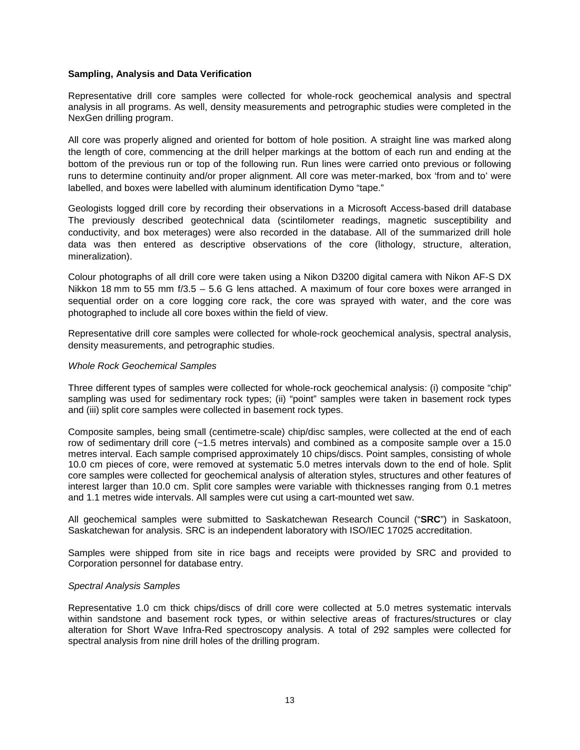# <span id="page-15-0"></span>**Sampling, Analysis and Data Verification**

Representative drill core samples were collected for whole-rock geochemical analysis and spectral analysis in all programs. As well, density measurements and petrographic studies were completed in the NexGen drilling program.

All core was properly aligned and oriented for bottom of hole position. A straight line was marked along the length of core, commencing at the drill helper markings at the bottom of each run and ending at the bottom of the previous run or top of the following run. Run lines were carried onto previous or following runs to determine continuity and/or proper alignment. All core was meter-marked, box 'from and to' were labelled, and boxes were labelled with aluminum identification Dymo "tape."

Geologists logged drill core by recording their observations in a Microsoft Access-based drill database The previously described geotechnical data (scintilometer readings, magnetic susceptibility and conductivity, and box meterages) were also recorded in the database. All of the summarized drill hole data was then entered as descriptive observations of the core (lithology, structure, alteration, mineralization).

Colour photographs of all drill core were taken using a Nikon D3200 digital camera with Nikon AF-S DX Nikkon 18 mm to 55 mm f/3.5 – 5.6 G lens attached. A maximum of four core boxes were arranged in sequential order on a core logging core rack, the core was sprayed with water, and the core was photographed to include all core boxes within the field of view.

Representative drill core samples were collected for whole-rock geochemical analysis, spectral analysis, density measurements, and petrographic studies.

# *Whole Rock Geochemical Samples*

Three different types of samples were collected for whole-rock geochemical analysis: (i) composite "chip" sampling was used for sedimentary rock types; (ii) "point" samples were taken in basement rock types and (iii) split core samples were collected in basement rock types.

Composite samples, being small (centimetre-scale) chip/disc samples, were collected at the end of each row of sedimentary drill core (~1.5 metres intervals) and combined as a composite sample over a 15.0 metres interval. Each sample comprised approximately 10 chips/discs. Point samples, consisting of whole 10.0 cm pieces of core, were removed at systematic 5.0 metres intervals down to the end of hole. Split core samples were collected for geochemical analysis of alteration styles, structures and other features of interest larger than 10.0 cm. Split core samples were variable with thicknesses ranging from 0.1 metres and 1.1 metres wide intervals. All samples were cut using a cart-mounted wet saw.

All geochemical samples were submitted to Saskatchewan Research Council ("**SRC**") in Saskatoon, Saskatchewan for analysis. SRC is an independent laboratory with ISO/IEC 17025 accreditation.

Samples were shipped from site in rice bags and receipts were provided by SRC and provided to Corporation personnel for database entry.

# *Spectral Analysis Samples*

Representative 1.0 cm thick chips/discs of drill core were collected at 5.0 metres systematic intervals within sandstone and basement rock types, or within selective areas of fractures/structures or clay alteration for Short Wave Infra-Red spectroscopy analysis. A total of 292 samples were collected for spectral analysis from nine drill holes of the drilling program.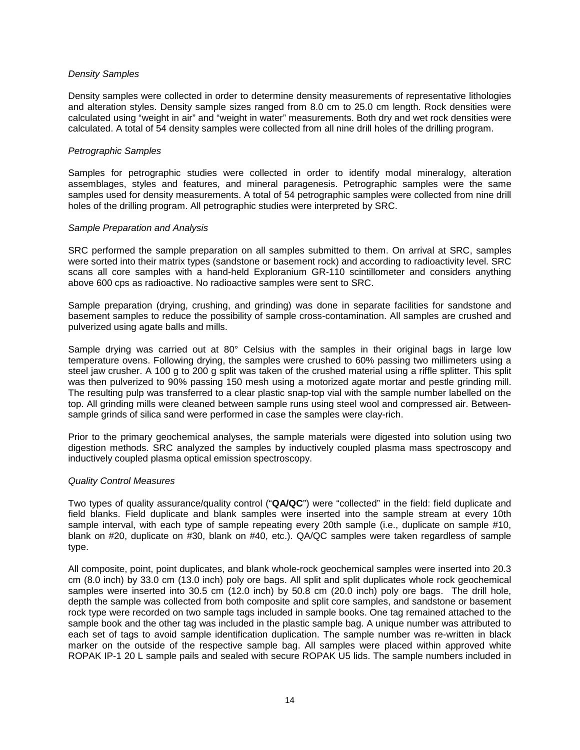## *Density Samples*

Density samples were collected in order to determine density measurements of representative lithologies and alteration styles. Density sample sizes ranged from 8.0 cm to 25.0 cm length. Rock densities were calculated using "weight in air" and "weight in water" measurements. Both dry and wet rock densities were calculated. A total of 54 density samples were collected from all nine drill holes of the drilling program.

#### *Petrographic Samples*

Samples for petrographic studies were collected in order to identify modal mineralogy, alteration assemblages, styles and features, and mineral paragenesis. Petrographic samples were the same samples used for density measurements. A total of 54 petrographic samples were collected from nine drill holes of the drilling program. All petrographic studies were interpreted by SRC.

#### *Sample Preparation and Analysis*

SRC performed the sample preparation on all samples submitted to them. On arrival at SRC, samples were sorted into their matrix types (sandstone or basement rock) and according to radioactivity level. SRC scans all core samples with a hand-held Exploranium GR-110 scintillometer and considers anything above 600 cps as radioactive. No radioactive samples were sent to SRC.

Sample preparation (drying, crushing, and grinding) was done in separate facilities for sandstone and basement samples to reduce the possibility of sample cross-contamination. All samples are crushed and pulverized using agate balls and mills.

Sample drying was carried out at 80° Celsius with the samples in their original bags in large low temperature ovens. Following drying, the samples were crushed to 60% passing two millimeters using a steel jaw crusher. A 100 g to 200 g split was taken of the crushed material using a riffle splitter. This split was then pulverized to 90% passing 150 mesh using a motorized agate mortar and pestle grinding mill. The resulting pulp was transferred to a clear plastic snap-top vial with the sample number labelled on the top. All grinding mills were cleaned between sample runs using steel wool and compressed air. Betweensample grinds of silica sand were performed in case the samples were clay-rich.

Prior to the primary geochemical analyses, the sample materials were digested into solution using two digestion methods. SRC analyzed the samples by inductively coupled plasma mass spectroscopy and inductively coupled plasma optical emission spectroscopy.

# *Quality Control Measures*

Two types of quality assurance/quality control ("**QA/QC**") were "collected" in the field: field duplicate and field blanks. Field duplicate and blank samples were inserted into the sample stream at every 10th sample interval, with each type of sample repeating every 20th sample (i.e., duplicate on sample #10, blank on #20, duplicate on #30, blank on #40, etc.). QA/QC samples were taken regardless of sample type.

All composite, point, point duplicates, and blank whole-rock geochemical samples were inserted into 20.3 cm (8.0 inch) by 33.0 cm (13.0 inch) poly ore bags. All split and split duplicates whole rock geochemical samples were inserted into 30.5 cm (12.0 inch) by 50.8 cm (20.0 inch) poly ore bags. The drill hole, depth the sample was collected from both composite and split core samples, and sandstone or basement rock type were recorded on two sample tags included in sample books. One tag remained attached to the sample book and the other tag was included in the plastic sample bag. A unique number was attributed to each set of tags to avoid sample identification duplication. The sample number was re-written in black marker on the outside of the respective sample bag. All samples were placed within approved white ROPAK IP-1 20 L sample pails and sealed with secure ROPAK U5 lids. The sample numbers included in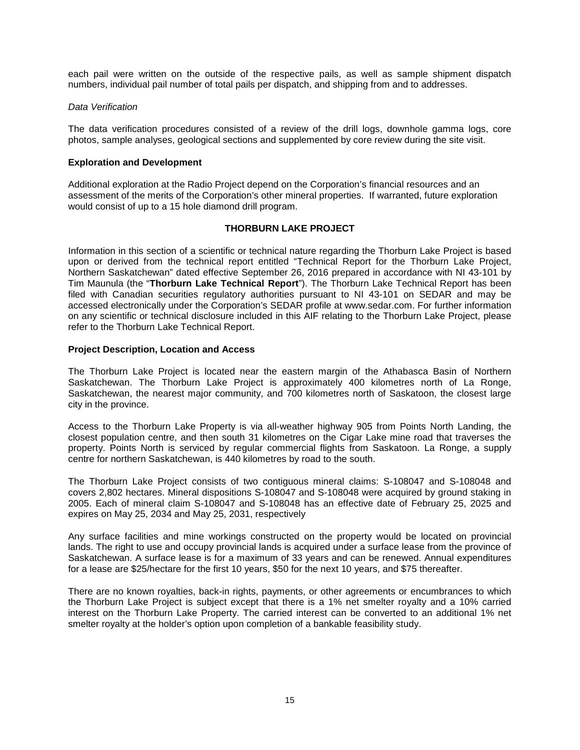each pail were written on the outside of the respective pails, as well as sample shipment dispatch numbers, individual pail number of total pails per dispatch, and shipping from and to addresses.

# *Data Verification*

The data verification procedures consisted of a review of the drill logs, downhole gamma logs, core photos, sample analyses, geological sections and supplemented by core review during the site visit.

# <span id="page-17-0"></span>**Exploration and Development**

Additional exploration at the Radio Project depend on the Corporation's financial resources and an assessment of the merits of the Corporation's other mineral properties. If warranted, future exploration would consist of up to a 15 hole diamond drill program.

# **THORBURN LAKE PROJECT**

<span id="page-17-1"></span>Information in this section of a scientific or technical nature regarding the Thorburn Lake Project is based upon or derived from the technical report entitled "Technical Report for the Thorburn Lake Project, Northern Saskatchewan" dated effective September 26, 2016 prepared in accordance with NI 43-101 by Tim Maunula (the "**Thorburn Lake Technical Report**"). The Thorburn Lake Technical Report has been filed with Canadian securities regulatory authorities pursuant to NI 43-101 on SEDAR and may be accessed electronically under the Corporation's SEDAR profile at www.sedar.com. For further information on any scientific or technical disclosure included in this AIF relating to the Thorburn Lake Project, please refer to the Thorburn Lake Technical Report.

# <span id="page-17-2"></span>**Project Description, Location and Access**

The Thorburn Lake Project is located near the eastern margin of the Athabasca Basin of Northern Saskatchewan. The Thorburn Lake Project is approximately 400 kilometres north of La Ronge, Saskatchewan, the nearest major community, and 700 kilometres north of Saskatoon, the closest large city in the province.

Access to the Thorburn Lake Property is via all-weather highway 905 from Points North Landing, the closest population centre, and then south 31 kilometres on the Cigar Lake mine road that traverses the property. Points North is serviced by regular commercial flights from Saskatoon. La Ronge, a supply centre for northern Saskatchewan, is 440 kilometres by road to the south.

The Thorburn Lake Project consists of two contiguous mineral claims: S-108047 and S-108048 and covers 2,802 hectares. Mineral dispositions S-108047 and S-108048 were acquired by ground staking in 2005. Each of mineral claim S-108047 and S-108048 has an effective date of February 25, 2025 and expires on May 25, 2034 and May 25, 2031, respectively

Any surface facilities and mine workings constructed on the property would be located on provincial lands. The right to use and occupy provincial lands is acquired under a surface lease from the province of Saskatchewan. A surface lease is for a maximum of 33 years and can be renewed. Annual expenditures for a lease are \$25/hectare for the first 10 years, \$50 for the next 10 years, and \$75 thereafter.

There are no known royalties, back-in rights, payments, or other agreements or encumbrances to which the Thorburn Lake Project is subject except that there is a 1% net smelter royalty and a 10% carried interest on the Thorburn Lake Property. The carried interest can be converted to an additional 1% net smelter royalty at the holder's option upon completion of a bankable feasibility study.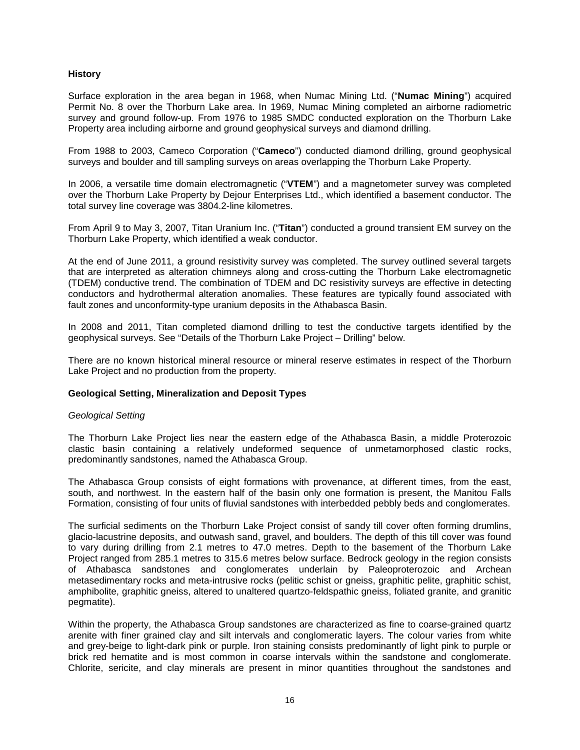# <span id="page-18-0"></span>**History**

Surface exploration in the area began in 1968, when Numac Mining Ltd. ("**Numac Mining**") acquired Permit No. 8 over the Thorburn Lake area. In 1969, Numac Mining completed an airborne radiometric survey and ground follow-up. From 1976 to 1985 SMDC conducted exploration on the Thorburn Lake Property area including airborne and ground geophysical surveys and diamond drilling.

From 1988 to 2003, Cameco Corporation ("**Cameco**") conducted diamond drilling, ground geophysical surveys and boulder and till sampling surveys on areas overlapping the Thorburn Lake Property.

In 2006, a versatile time domain electromagnetic ("**VTEM**") and a magnetometer survey was completed over the Thorburn Lake Property by Dejour Enterprises Ltd., which identified a basement conductor. The total survey line coverage was 3804.2-line kilometres.

From April 9 to May 3, 2007, Titan Uranium Inc. ("**Titan**") conducted a ground transient EM survey on the Thorburn Lake Property, which identified a weak conductor.

At the end of June 2011, a ground resistivity survey was completed. The survey outlined several targets that are interpreted as alteration chimneys along and cross-cutting the Thorburn Lake electromagnetic (TDEM) conductive trend. The combination of TDEM and DC resistivity surveys are effective in detecting conductors and hydrothermal alteration anomalies. These features are typically found associated with fault zones and unconformity-type uranium deposits in the Athabasca Basin.

In 2008 and 2011, Titan completed diamond drilling to test the conductive targets identified by the geophysical surveys. See "Details of the Thorburn Lake Project – Drilling" below.

There are no known historical mineral resource or mineral reserve estimates in respect of the Thorburn Lake Project and no production from the property.

# <span id="page-18-1"></span>**Geological Setting, Mineralization and Deposit Types**

# *Geological Setting*

The Thorburn Lake Project lies near the eastern edge of the Athabasca Basin, a middle Proterozoic clastic basin containing a relatively undeformed sequence of unmetamorphosed clastic rocks, predominantly sandstones, named the Athabasca Group.

The Athabasca Group consists of eight formations with provenance, at different times, from the east, south, and northwest. In the eastern half of the basin only one formation is present, the Manitou Falls Formation, consisting of four units of fluvial sandstones with interbedded pebbly beds and conglomerates.

The surficial sediments on the Thorburn Lake Project consist of sandy till cover often forming drumlins, glacio-lacustrine deposits, and outwash sand, gravel, and boulders. The depth of this till cover was found to vary during drilling from 2.1 metres to 47.0 metres. Depth to the basement of the Thorburn Lake Project ranged from 285.1 metres to 315.6 metres below surface. Bedrock geology in the region consists of Athabasca sandstones and conglomerates underlain by Paleoproterozoic and Archean metasedimentary rocks and meta-intrusive rocks (pelitic schist or gneiss, graphitic pelite, graphitic schist, amphibolite, graphitic gneiss, altered to unaltered quartzo-feldspathic gneiss, foliated granite, and granitic pegmatite).

Within the property, the Athabasca Group sandstones are characterized as fine to coarse-grained quartz arenite with finer grained clay and silt intervals and conglomeratic layers. The colour varies from white and grey-beige to light-dark pink or purple. Iron staining consists predominantly of light pink to purple or brick red hematite and is most common in coarse intervals within the sandstone and conglomerate. Chlorite, sericite, and clay minerals are present in minor quantities throughout the sandstones and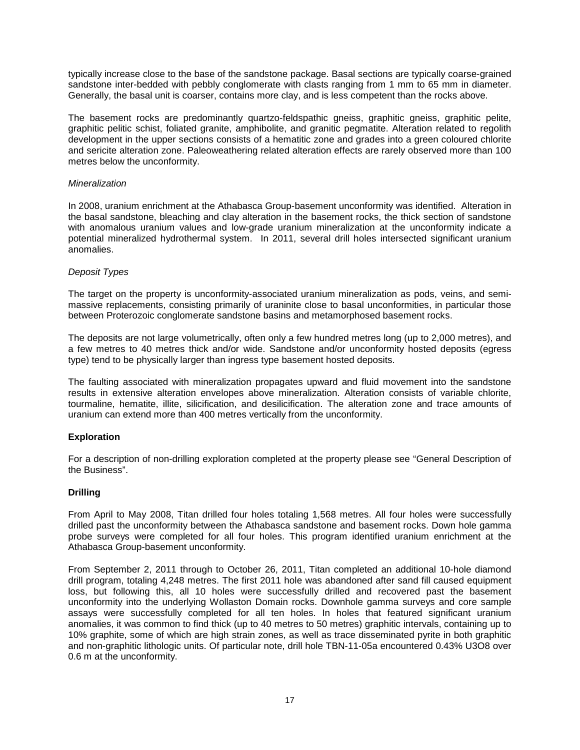typically increase close to the base of the sandstone package. Basal sections are typically coarse-grained sandstone inter-bedded with pebbly conglomerate with clasts ranging from 1 mm to 65 mm in diameter. Generally, the basal unit is coarser, contains more clay, and is less competent than the rocks above.

The basement rocks are predominantly quartzo-feldspathic gneiss, graphitic gneiss, graphitic pelite, graphitic pelitic schist, foliated granite, amphibolite, and granitic pegmatite. Alteration related to regolith development in the upper sections consists of a hematitic zone and grades into a green coloured chlorite and sericite alteration zone. Paleoweathering related alteration effects are rarely observed more than 100 metres below the unconformity.

# *Mineralization*

In 2008, uranium enrichment at the Athabasca Group-basement unconformity was identified. Alteration in the basal sandstone, bleaching and clay alteration in the basement rocks, the thick section of sandstone with anomalous uranium values and low-grade uranium mineralization at the unconformity indicate a potential mineralized hydrothermal system. In 2011, several drill holes intersected significant uranium anomalies.

# *Deposit Types*

The target on the property is unconformity-associated uranium mineralization as pods, veins, and semimassive replacements, consisting primarily of uraninite close to basal unconformities, in particular those between Proterozoic conglomerate sandstone basins and metamorphosed basement rocks.

The deposits are not large volumetrically, often only a few hundred metres long (up to 2,000 metres), and a few metres to 40 metres thick and/or wide. Sandstone and/or unconformity hosted deposits (egress type) tend to be physically larger than ingress type basement hosted deposits.

The faulting associated with mineralization propagates upward and fluid movement into the sandstone results in extensive alteration envelopes above mineralization. Alteration consists of variable chlorite, tourmaline, hematite, illite, silicification, and desilicification. The alteration zone and trace amounts of uranium can extend more than 400 metres vertically from the unconformity.

# <span id="page-19-0"></span>**Exploration**

For a description of non-drilling exploration completed at the property please see "General Description of the Business".

# <span id="page-19-1"></span>**Drilling**

From April to May 2008, Titan drilled four holes totaling 1,568 metres. All four holes were successfully drilled past the unconformity between the Athabasca sandstone and basement rocks. Down hole gamma probe surveys were completed for all four holes. This program identified uranium enrichment at the Athabasca Group-basement unconformity.

From September 2, 2011 through to October 26, 2011, Titan completed an additional 10-hole diamond drill program, totaling 4,248 metres. The first 2011 hole was abandoned after sand fill caused equipment loss, but following this, all 10 holes were successfully drilled and recovered past the basement unconformity into the underlying Wollaston Domain rocks. Downhole gamma surveys and core sample assays were successfully completed for all ten holes. In holes that featured significant uranium anomalies, it was common to find thick (up to 40 metres to 50 metres) graphitic intervals, containing up to 10% graphite, some of which are high strain zones, as well as trace disseminated pyrite in both graphitic and non-graphitic lithologic units. Of particular note, drill hole TBN-11-05a encountered 0.43% U3O8 over 0.6 m at the unconformity.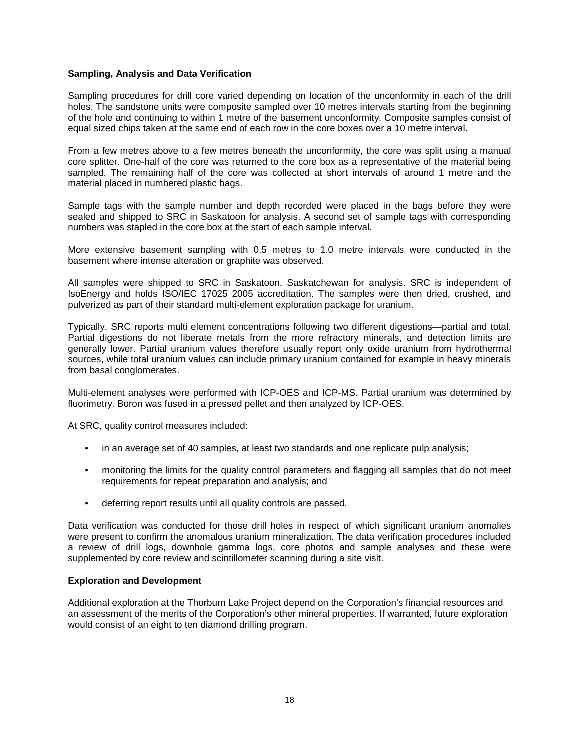# <span id="page-20-0"></span>**Sampling, Analysis and Data Verification**

Sampling procedures for drill core varied depending on location of the unconformity in each of the drill holes. The sandstone units were composite sampled over 10 metres intervals starting from the beginning of the hole and continuing to within 1 metre of the basement unconformity. Composite samples consist of equal sized chips taken at the same end of each row in the core boxes over a 10 metre interval.

From a few metres above to a few metres beneath the unconformity, the core was split using a manual core splitter. One-half of the core was returned to the core box as a representative of the material being sampled. The remaining half of the core was collected at short intervals of around 1 metre and the material placed in numbered plastic bags.

Sample tags with the sample number and depth recorded were placed in the bags before they were sealed and shipped to SRC in Saskatoon for analysis. A second set of sample tags with corresponding numbers was stapled in the core box at the start of each sample interval.

More extensive basement sampling with 0.5 metres to 1.0 metre intervals were conducted in the basement where intense alteration or graphite was observed.

All samples were shipped to SRC in Saskatoon, Saskatchewan for analysis. SRC is independent of IsoEnergy and holds ISO/IEC 17025 2005 accreditation. The samples were then dried, crushed, and pulverized as part of their standard multi-element exploration package for uranium.

Typically, SRC reports multi element concentrations following two different digestions—partial and total. Partial digestions do not liberate metals from the more refractory minerals, and detection limits are generally lower. Partial uranium values therefore usually report only oxide uranium from hydrothermal sources, while total uranium values can include primary uranium contained for example in heavy minerals from basal conglomerates.

Multi-element analyses were performed with ICP-OES and ICP-MS. Partial uranium was determined by fluorimetry. Boron was fused in a pressed pellet and then analyzed by ICP-OES.

At SRC, quality control measures included:

- in an average set of 40 samples, at least two standards and one replicate pulp analysis;
- monitoring the limits for the quality control parameters and flagging all samples that do not meet requirements for repeat preparation and analysis; and
- deferring report results until all quality controls are passed.

Data verification was conducted for those drill holes in respect of which significant uranium anomalies were present to confirm the anomalous uranium mineralization. The data verification procedures included a review of drill logs, downhole gamma logs, core photos and sample analyses and these were supplemented by core review and scintillometer scanning during a site visit.

# <span id="page-20-1"></span>**Exploration and Development**

Additional exploration at the Thorburn Lake Project depend on the Corporation's financial resources and an assessment of the merits of the Corporation's other mineral properties. If warranted, future exploration would consist of an eight to ten diamond drilling program.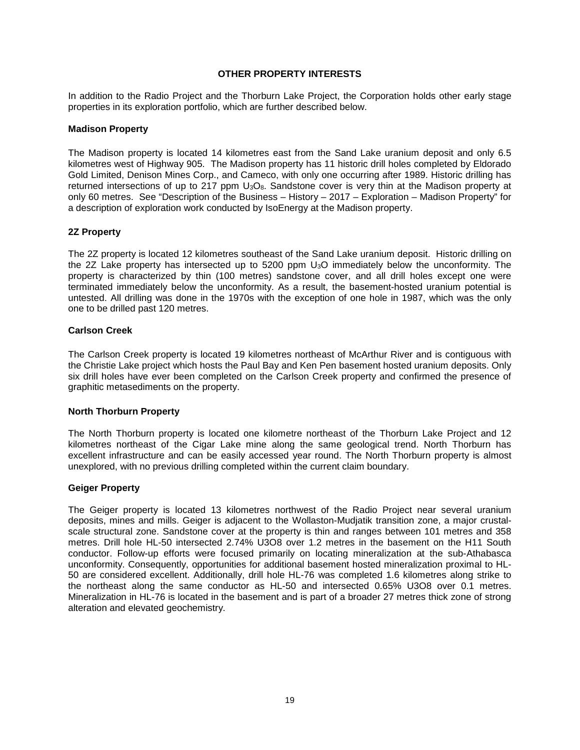# **OTHER PROPERTY INTERESTS**

<span id="page-21-0"></span>In addition to the Radio Project and the Thorburn Lake Project, the Corporation holds other early stage properties in its exploration portfolio, which are further described below.

# **Madison Property**

The Madison property is located 14 kilometres east from the Sand Lake uranium deposit and only 6.5 kilometres west of Highway 905. The Madison property has 11 historic drill holes completed by Eldorado Gold Limited, Denison Mines Corp., and Cameco, with only one occurring after 1989. Historic drilling has returned intersections of up to 217 ppm U<sub>3</sub>O<sub>8</sub>. Sandstone cover is very thin at the Madison property at only 60 metres. See "Description of the Business – History – 2017 – Exploration – Madison Property" for a description of exploration work conducted by IsoEnergy at the Madison property.

# **2Z Property**

The 2Z property is located 12 kilometres southeast of the Sand Lake uranium deposit. Historic drilling on the 2Z Lake property has intersected up to 5200 ppm U3O immediately below the unconformity. The property is characterized by thin (100 metres) sandstone cover, and all drill holes except one were terminated immediately below the unconformity. As a result, the basement-hosted uranium potential is untested. All drilling was done in the 1970s with the exception of one hole in 1987, which was the only one to be drilled past 120 metres.

# **Carlson Creek**

The Carlson Creek property is located 19 kilometres northeast of McArthur River and is contiguous with the Christie Lake project which hosts the Paul Bay and Ken Pen basement hosted uranium deposits. Only six drill holes have ever been completed on the Carlson Creek property and confirmed the presence of graphitic metasediments on the property.

# **North Thorburn Property**

The North Thorburn property is located one kilometre northeast of the Thorburn Lake Project and 12 kilometres northeast of the Cigar Lake mine along the same geological trend. North Thorburn has excellent infrastructure and can be easily accessed year round. The North Thorburn property is almost unexplored, with no previous drilling completed within the current claim boundary.

# **Geiger Property**

The Geiger property is located 13 kilometres northwest of the Radio Project near several uranium deposits, mines and mills. Geiger is adjacent to the Wollaston-Mudjatik transition zone, a major crustalscale structural zone. Sandstone cover at the property is thin and ranges between 101 metres and 358 metres. Drill hole HL-50 intersected 2.74% U3O8 over 1.2 metres in the basement on the H11 South conductor. Follow-up efforts were focused primarily on locating mineralization at the sub-Athabasca unconformity. Consequently, opportunities for additional basement hosted mineralization proximal to HL-50 are considered excellent. Additionally, drill hole HL-76 was completed 1.6 kilometres along strike to the northeast along the same conductor as HL-50 and intersected 0.65% U3O8 over 0.1 metres. Mineralization in HL-76 is located in the basement and is part of a broader 27 metres thick zone of strong alteration and elevated geochemistry.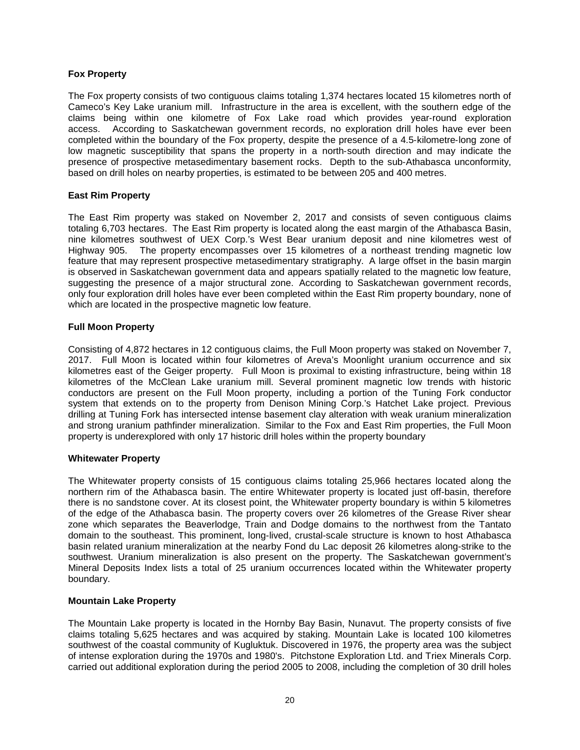# **Fox Property**

The Fox property consists of two contiguous claims totaling 1,374 hectares located 15 kilometres north of Cameco's Key Lake uranium mill. Infrastructure in the area is excellent, with the southern edge of the claims being within one kilometre of Fox Lake road which provides year‐round exploration access. According to Saskatchewan government records, no exploration drill holes have ever been completed within the boundary of the Fox property, despite the presence of a 4.5‐kilometre‐long zone of low magnetic susceptibility that spans the property in a north‐south direction and may indicate the presence of prospective metasedimentary basement rocks. Depth to the sub‐Athabasca unconformity, based on drill holes on nearby properties, is estimated to be between 205 and 400 metres.

# **East Rim Property**

The East Rim property was staked on November 2, 2017 and consists of seven contiguous claims totaling 6,703 hectares. The East Rim property is located along the east margin of the Athabasca Basin, nine kilometres southwest of UEX Corp.'s West Bear uranium deposit and nine kilometres west of Highway 905. The property encompasses over 15 kilometres of a northeast trending magnetic low feature that may represent prospective metasedimentary stratigraphy. A large offset in the basin margin is observed in Saskatchewan government data and appears spatially related to the magnetic low feature, suggesting the presence of a major structural zone. According to Saskatchewan government records, only four exploration drill holes have ever been completed within the East Rim property boundary, none of which are located in the prospective magnetic low feature.

# **Full Moon Property**

Consisting of 4,872 hectares in 12 contiguous claims, the Full Moon property was staked on November 7, 2017. Full Moon is located within four kilometres of Areva's Moonlight uranium occurrence and six kilometres east of the Geiger property. Full Moon is proximal to existing infrastructure, being within 18 kilometres of the McClean Lake uranium mill. Several prominent magnetic low trends with historic conductors are present on the Full Moon property, including a portion of the Tuning Fork conductor system that extends on to the property from Denison Mining Corp.'s Hatchet Lake project. Previous drilling at Tuning Fork has intersected intense basement clay alteration with weak uranium mineralization and strong uranium pathfinder mineralization. Similar to the Fox and East Rim properties, the Full Moon property is underexplored with only 17 historic drill holes within the property boundary

# **Whitewater Property**

The Whitewater property consists of 15 contiguous claims totaling 25,966 hectares located along the northern rim of the Athabasca basin. The entire Whitewater property is located just off-basin, therefore there is no sandstone cover. At its closest point, the Whitewater property boundary is within 5 kilometres of the edge of the Athabasca basin. The property covers over 26 kilometres of the Grease River shear zone which separates the Beaverlodge, Train and Dodge domains to the northwest from the Tantato domain to the southeast. This prominent, long-lived, crustal-scale structure is known to host Athabasca basin related uranium mineralization at the nearby Fond du Lac deposit 26 kilometres along-strike to the southwest. Uranium mineralization is also present on the property. The Saskatchewan government's Mineral Deposits Index lists a total of 25 uranium occurrences located within the Whitewater property boundary.

# **Mountain Lake Property**

The Mountain Lake property is located in the Hornby Bay Basin, Nunavut. The property consists of five claims totaling 5,625 hectares and was acquired by staking. Mountain Lake is located 100 kilometres southwest of the coastal community of Kugluktuk. Discovered in 1976, the property area was the subject of intense exploration during the 1970s and 1980's. Pitchstone Exploration Ltd. and Triex Minerals Corp. carried out additional exploration during the period 2005 to 2008, including the completion of 30 drill holes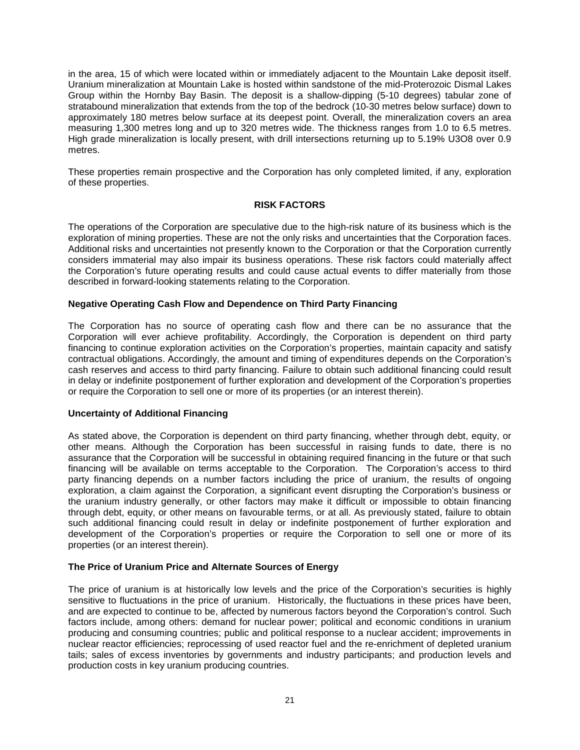in the area, 15 of which were located within or immediately adjacent to the Mountain Lake deposit itself. Uranium mineralization at Mountain Lake is hosted within sandstone of the mid-Proterozoic Dismal Lakes Group within the Hornby Bay Basin. The deposit is a shallow-dipping (5-10 degrees) tabular zone of stratabound mineralization that extends from the top of the bedrock (10-30 metres below surface) down to approximately 180 metres below surface at its deepest point. Overall, the mineralization covers an area measuring 1,300 metres long and up to 320 metres wide. The thickness ranges from 1.0 to 6.5 metres. High grade mineralization is locally present, with drill intersections returning up to 5.19% U3O8 over 0.9 metres.

These properties remain prospective and the Corporation has only completed limited, if any, exploration of these properties.

# **RISK FACTORS**

<span id="page-23-0"></span>The operations of the Corporation are speculative due to the high-risk nature of its business which is the exploration of mining properties. These are not the only risks and uncertainties that the Corporation faces. Additional risks and uncertainties not presently known to the Corporation or that the Corporation currently considers immaterial may also impair its business operations. These risk factors could materially affect the Corporation's future operating results and could cause actual events to differ materially from those described in forward-looking statements relating to the Corporation.

# <span id="page-23-1"></span>**Negative Operating Cash Flow and Dependence on Third Party Financing**

The Corporation has no source of operating cash flow and there can be no assurance that the Corporation will ever achieve profitability. Accordingly, the Corporation is dependent on third party financing to continue exploration activities on the Corporation's properties, maintain capacity and satisfy contractual obligations. Accordingly, the amount and timing of expenditures depends on the Corporation's cash reserves and access to third party financing. Failure to obtain such additional financing could result in delay or indefinite postponement of further exploration and development of the Corporation's properties or require the Corporation to sell one or more of its properties (or an interest therein).

# <span id="page-23-2"></span>**Uncertainty of Additional Financing**

As stated above, the Corporation is dependent on third party financing, whether through debt, equity, or other means. Although the Corporation has been successful in raising funds to date, there is no assurance that the Corporation will be successful in obtaining required financing in the future or that such financing will be available on terms acceptable to the Corporation. The Corporation's access to third party financing depends on a number factors including the price of uranium, the results of ongoing exploration, a claim against the Corporation, a significant event disrupting the Corporation's business or the uranium industry generally, or other factors may make it difficult or impossible to obtain financing through debt, equity, or other means on favourable terms, or at all. As previously stated, failure to obtain such additional financing could result in delay or indefinite postponement of further exploration and development of the Corporation's properties or require the Corporation to sell one or more of its properties (or an interest therein).

# <span id="page-23-3"></span>**The Price of Uranium Price and Alternate Sources of Energy**

The price of uranium is at historically low levels and the price of the Corporation's securities is highly sensitive to fluctuations in the price of uranium.Historically, the fluctuations in these prices have been, and are expected to continue to be, affected by numerous factors beyond the Corporation's control. Such factors include, among others: demand for nuclear power; political and economic conditions in uranium producing and consuming countries; public and political response to a nuclear accident; improvements in nuclear reactor efficiencies; reprocessing of used reactor fuel and the re-enrichment of depleted uranium tails; sales of excess inventories by governments and industry participants; and production levels and production costs in key uranium producing countries.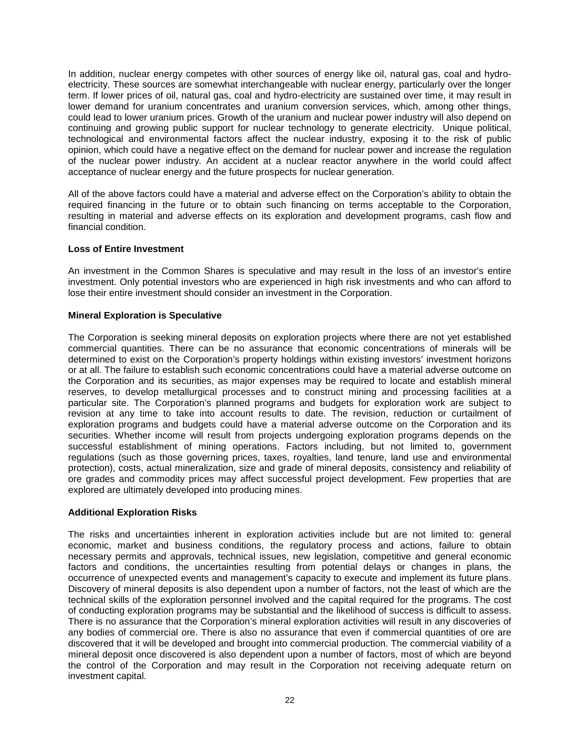In addition, nuclear energy competes with other sources of energy like oil, natural gas, coal and hydroelectricity. These sources are somewhat interchangeable with nuclear energy, particularly over the longer term. If lower prices of oil, natural gas, coal and hydro-electricity are sustained over time, it may result in lower demand for uranium concentrates and uranium conversion services, which, among other things, could lead to lower uranium prices. Growth of the uranium and nuclear power industry will also depend on continuing and growing public support for nuclear technology to generate electricity. Unique political, technological and environmental factors affect the nuclear industry, exposing it to the risk of public opinion, which could have a negative effect on the demand for nuclear power and increase the regulation of the nuclear power industry. An accident at a nuclear reactor anywhere in the world could affect acceptance of nuclear energy and the future prospects for nuclear generation.

All of the above factors could have a material and adverse effect on the Corporation's ability to obtain the required financing in the future or to obtain such financing on terms acceptable to the Corporation, resulting in material and adverse effects on its exploration and development programs, cash flow and financial condition.

# <span id="page-24-0"></span>**Loss of Entire Investment**

An investment in the Common Shares is speculative and may result in the loss of an investor's entire investment. Only potential investors who are experienced in high risk investments and who can afford to lose their entire investment should consider an investment in the Corporation.

# <span id="page-24-1"></span>**Mineral Exploration is Speculative**

The Corporation is seeking mineral deposits on exploration projects where there are not yet established commercial quantities. There can be no assurance that economic concentrations of minerals will be determined to exist on the Corporation's property holdings within existing investors' investment horizons or at all. The failure to establish such economic concentrations could have a material adverse outcome on the Corporation and its securities, as major expenses may be required to locate and establish mineral reserves, to develop metallurgical processes and to construct mining and processing facilities at a particular site. The Corporation's planned programs and budgets for exploration work are subject to revision at any time to take into account results to date. The revision, reduction or curtailment of exploration programs and budgets could have a material adverse outcome on the Corporation and its securities. Whether income will result from projects undergoing exploration programs depends on the successful establishment of mining operations. Factors including, but not limited to, government regulations (such as those governing prices, taxes, royalties, land tenure, land use and environmental protection), costs, actual mineralization, size and grade of mineral deposits, consistency and reliability of ore grades and commodity prices may affect successful project development. Few properties that are explored are ultimately developed into producing mines.

# <span id="page-24-2"></span>**Additional Exploration Risks**

The risks and uncertainties inherent in exploration activities include but are not limited to: general economic, market and business conditions, the regulatory process and actions, failure to obtain necessary permits and approvals, technical issues, new legislation, competitive and general economic factors and conditions, the uncertainties resulting from potential delays or changes in plans, the occurrence of unexpected events and management's capacity to execute and implement its future plans. Discovery of mineral deposits is also dependent upon a number of factors, not the least of which are the technical skills of the exploration personnel involved and the capital required for the programs. The cost of conducting exploration programs may be substantial and the likelihood of success is difficult to assess. There is no assurance that the Corporation's mineral exploration activities will result in any discoveries of any bodies of commercial ore. There is also no assurance that even if commercial quantities of ore are discovered that it will be developed and brought into commercial production. The commercial viability of a mineral deposit once discovered is also dependent upon a number of factors, most of which are beyond the control of the Corporation and may result in the Corporation not receiving adequate return on investment capital.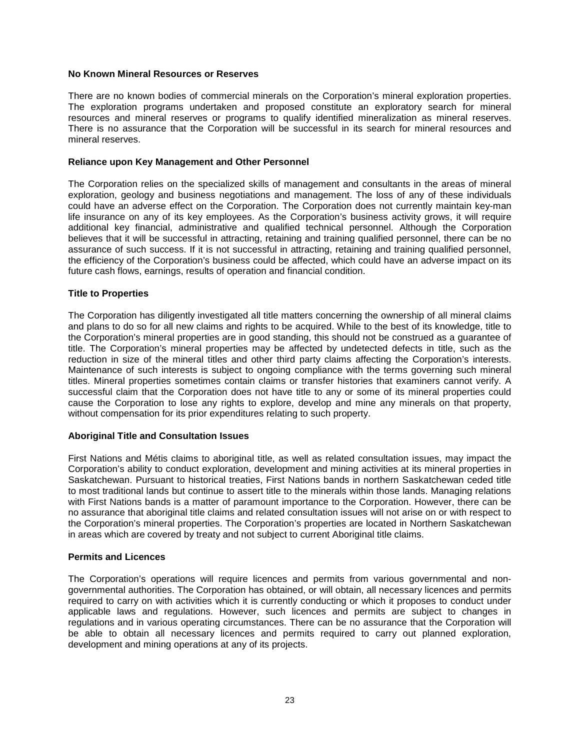# <span id="page-25-0"></span>**No Known Mineral Resources or Reserves**

There are no known bodies of commercial minerals on the Corporation's mineral exploration properties. The exploration programs undertaken and proposed constitute an exploratory search for mineral resources and mineral reserves or programs to qualify identified mineralization as mineral reserves. There is no assurance that the Corporation will be successful in its search for mineral resources and mineral reserves.

#### <span id="page-25-1"></span>**Reliance upon Key Management and Other Personnel**

The Corporation relies on the specialized skills of management and consultants in the areas of mineral exploration, geology and business negotiations and management. The loss of any of these individuals could have an adverse effect on the Corporation. The Corporation does not currently maintain key-man life insurance on any of its key employees. As the Corporation's business activity grows, it will require additional key financial, administrative and qualified technical personnel. Although the Corporation believes that it will be successful in attracting, retaining and training qualified personnel, there can be no assurance of such success. If it is not successful in attracting, retaining and training qualified personnel, the efficiency of the Corporation's business could be affected, which could have an adverse impact on its future cash flows, earnings, results of operation and financial condition.

#### <span id="page-25-2"></span>**Title to Properties**

The Corporation has diligently investigated all title matters concerning the ownership of all mineral claims and plans to do so for all new claims and rights to be acquired. While to the best of its knowledge, title to the Corporation's mineral properties are in good standing, this should not be construed as a guarantee of title. The Corporation's mineral properties may be affected by undetected defects in title, such as the reduction in size of the mineral titles and other third party claims affecting the Corporation's interests. Maintenance of such interests is subject to ongoing compliance with the terms governing such mineral titles. Mineral properties sometimes contain claims or transfer histories that examiners cannot verify. A successful claim that the Corporation does not have title to any or some of its mineral properties could cause the Corporation to lose any rights to explore, develop and mine any minerals on that property, without compensation for its prior expenditures relating to such property.

# <span id="page-25-3"></span>**Aboriginal Title and Consultation Issues**

First Nations and Métis claims to aboriginal title, as well as related consultation issues, may impact the Corporation's ability to conduct exploration, development and mining activities at its mineral properties in Saskatchewan. Pursuant to historical treaties, First Nations bands in northern Saskatchewan ceded title to most traditional lands but continue to assert title to the minerals within those lands. Managing relations with First Nations bands is a matter of paramount importance to the Corporation. However, there can be no assurance that aboriginal title claims and related consultation issues will not arise on or with respect to the Corporation's mineral properties. The Corporation's properties are located in Northern Saskatchewan in areas which are covered by treaty and not subject to current Aboriginal title claims.

#### <span id="page-25-4"></span>**Permits and Licences**

The Corporation's operations will require licences and permits from various governmental and nongovernmental authorities. The Corporation has obtained, or will obtain, all necessary licences and permits required to carry on with activities which it is currently conducting or which it proposes to conduct under applicable laws and regulations. However, such licences and permits are subject to changes in regulations and in various operating circumstances. There can be no assurance that the Corporation will be able to obtain all necessary licences and permits required to carry out planned exploration, development and mining operations at any of its projects.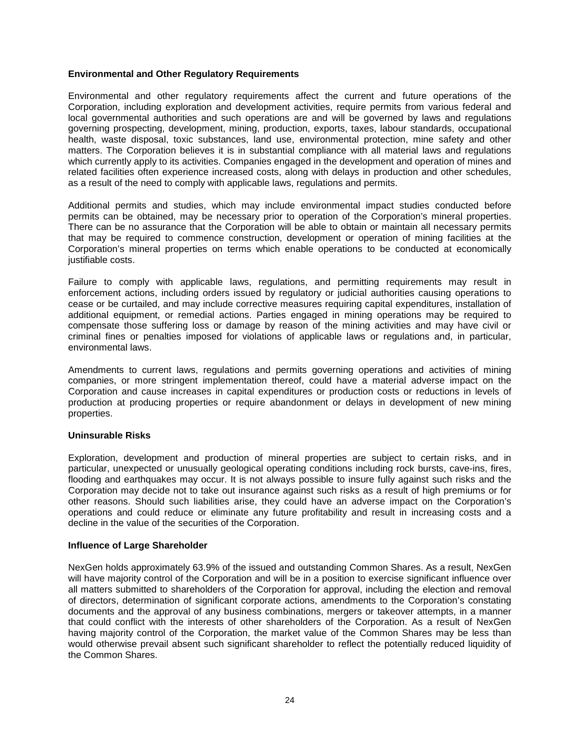# <span id="page-26-0"></span>**Environmental and Other Regulatory Requirements**

Environmental and other regulatory requirements affect the current and future operations of the Corporation, including exploration and development activities, require permits from various federal and local governmental authorities and such operations are and will be governed by laws and regulations governing prospecting, development, mining, production, exports, taxes, labour standards, occupational health, waste disposal, toxic substances, land use, environmental protection, mine safety and other matters. The Corporation believes it is in substantial compliance with all material laws and regulations which currently apply to its activities. Companies engaged in the development and operation of mines and related facilities often experience increased costs, along with delays in production and other schedules, as a result of the need to comply with applicable laws, regulations and permits.

Additional permits and studies, which may include environmental impact studies conducted before permits can be obtained, may be necessary prior to operation of the Corporation's mineral properties. There can be no assurance that the Corporation will be able to obtain or maintain all necessary permits that may be required to commence construction, development or operation of mining facilities at the Corporation's mineral properties on terms which enable operations to be conducted at economically justifiable costs.

Failure to comply with applicable laws, regulations, and permitting requirements may result in enforcement actions, including orders issued by regulatory or judicial authorities causing operations to cease or be curtailed, and may include corrective measures requiring capital expenditures, installation of additional equipment, or remedial actions. Parties engaged in mining operations may be required to compensate those suffering loss or damage by reason of the mining activities and may have civil or criminal fines or penalties imposed for violations of applicable laws or regulations and, in particular, environmental laws.

Amendments to current laws, regulations and permits governing operations and activities of mining companies, or more stringent implementation thereof, could have a material adverse impact on the Corporation and cause increases in capital expenditures or production costs or reductions in levels of production at producing properties or require abandonment or delays in development of new mining properties.

# <span id="page-26-1"></span>**Uninsurable Risks**

Exploration, development and production of mineral properties are subject to certain risks, and in particular, unexpected or unusually geological operating conditions including rock bursts, cave-ins, fires, flooding and earthquakes may occur. It is not always possible to insure fully against such risks and the Corporation may decide not to take out insurance against such risks as a result of high premiums or for other reasons. Should such liabilities arise, they could have an adverse impact on the Corporation's operations and could reduce or eliminate any future profitability and result in increasing costs and a decline in the value of the securities of the Corporation.

# <span id="page-26-2"></span>**Influence of Large Shareholder**

NexGen holds approximately 63.9% of the issued and outstanding Common Shares. As a result, NexGen will have majority control of the Corporation and will be in a position to exercise significant influence over all matters submitted to shareholders of the Corporation for approval, including the election and removal of directors, determination of significant corporate actions, amendments to the Corporation's constating documents and the approval of any business combinations, mergers or takeover attempts, in a manner that could conflict with the interests of other shareholders of the Corporation. As a result of NexGen having majority control of the Corporation, the market value of the Common Shares may be less than would otherwise prevail absent such significant shareholder to reflect the potentially reduced liquidity of the Common Shares.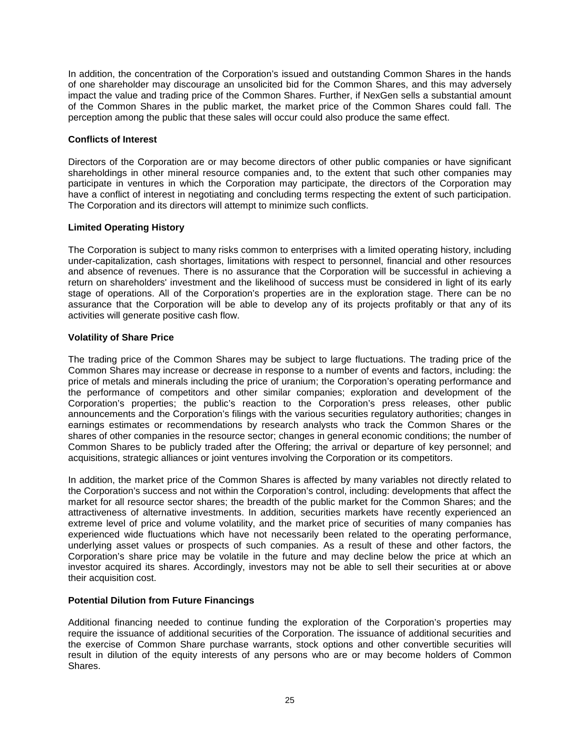In addition, the concentration of the Corporation's issued and outstanding Common Shares in the hands of one shareholder may discourage an unsolicited bid for the Common Shares, and this may adversely impact the value and trading price of the Common Shares. Further, if NexGen sells a substantial amount of the Common Shares in the public market, the market price of the Common Shares could fall. The perception among the public that these sales will occur could also produce the same effect.

# <span id="page-27-0"></span>**Conflicts of Interest**

Directors of the Corporation are or may become directors of other public companies or have significant shareholdings in other mineral resource companies and, to the extent that such other companies may participate in ventures in which the Corporation may participate, the directors of the Corporation may have a conflict of interest in negotiating and concluding terms respecting the extent of such participation. The Corporation and its directors will attempt to minimize such conflicts.

# <span id="page-27-1"></span>**Limited Operating History**

The Corporation is subject to many risks common to enterprises with a limited operating history, including under-capitalization, cash shortages, limitations with respect to personnel, financial and other resources and absence of revenues. There is no assurance that the Corporation will be successful in achieving a return on shareholders' investment and the likelihood of success must be considered in light of its early stage of operations. All of the Corporation's properties are in the exploration stage. There can be no assurance that the Corporation will be able to develop any of its projects profitably or that any of its activities will generate positive cash flow.

# <span id="page-27-2"></span>**Volatility of Share Price**

The trading price of the Common Shares may be subject to large fluctuations. The trading price of the Common Shares may increase or decrease in response to a number of events and factors, including: the price of metals and minerals including the price of uranium; the Corporation's operating performance and the performance of competitors and other similar companies; exploration and development of the Corporation's properties; the public's reaction to the Corporation's press releases, other public announcements and the Corporation's filings with the various securities regulatory authorities; changes in earnings estimates or recommendations by research analysts who track the Common Shares or the shares of other companies in the resource sector; changes in general economic conditions; the number of Common Shares to be publicly traded after the Offering; the arrival or departure of key personnel; and acquisitions, strategic alliances or joint ventures involving the Corporation or its competitors.

In addition, the market price of the Common Shares is affected by many variables not directly related to the Corporation's success and not within the Corporation's control, including: developments that affect the market for all resource sector shares; the breadth of the public market for the Common Shares; and the attractiveness of alternative investments. In addition, securities markets have recently experienced an extreme level of price and volume volatility, and the market price of securities of many companies has experienced wide fluctuations which have not necessarily been related to the operating performance, underlying asset values or prospects of such companies. As a result of these and other factors, the Corporation's share price may be volatile in the future and may decline below the price at which an investor acquired its shares. Accordingly, investors may not be able to sell their securities at or above their acquisition cost.

# <span id="page-27-3"></span>**Potential Dilution from Future Financings**

Additional financing needed to continue funding the exploration of the Corporation's properties may require the issuance of additional securities of the Corporation. The issuance of additional securities and the exercise of Common Share purchase warrants, stock options and other convertible securities will result in dilution of the equity interests of any persons who are or may become holders of Common Shares.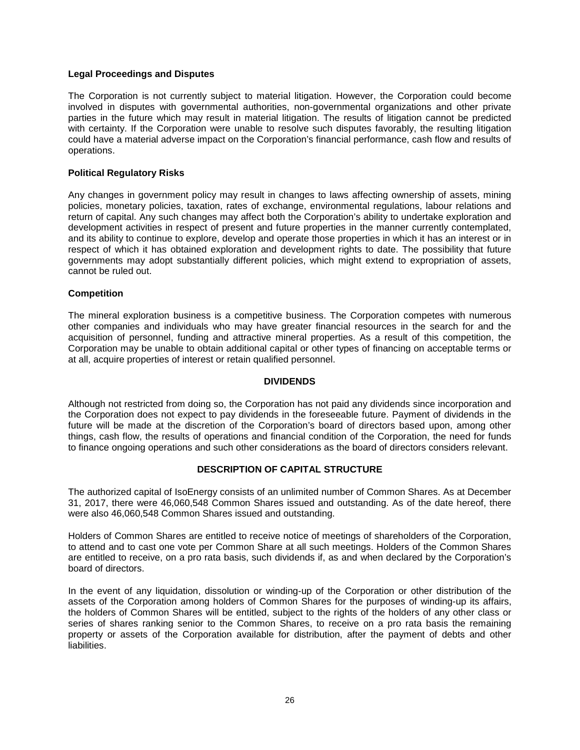# <span id="page-28-0"></span>**Legal Proceedings and Disputes**

The Corporation is not currently subject to material litigation. However, the Corporation could become involved in disputes with governmental authorities, non-governmental organizations and other private parties in the future which may result in material litigation. The results of litigation cannot be predicted with certainty. If the Corporation were unable to resolve such disputes favorably, the resulting litigation could have a material adverse impact on the Corporation's financial performance, cash flow and results of operations.

# <span id="page-28-1"></span>**Political Regulatory Risks**

Any changes in government policy may result in changes to laws affecting ownership of assets, mining policies, monetary policies, taxation, rates of exchange, environmental regulations, labour relations and return of capital. Any such changes may affect both the Corporation's ability to undertake exploration and development activities in respect of present and future properties in the manner currently contemplated, and its ability to continue to explore, develop and operate those properties in which it has an interest or in respect of which it has obtained exploration and development rights to date. The possibility that future governments may adopt substantially different policies, which might extend to expropriation of assets, cannot be ruled out.

# <span id="page-28-2"></span>**Competition**

The mineral exploration business is a competitive business. The Corporation competes with numerous other companies and individuals who may have greater financial resources in the search for and the acquisition of personnel, funding and attractive mineral properties. As a result of this competition, the Corporation may be unable to obtain additional capital or other types of financing on acceptable terms or at all, acquire properties of interest or retain qualified personnel.

# **DIVIDENDS**

<span id="page-28-3"></span>Although not restricted from doing so, the Corporation has not paid any dividends since incorporation and the Corporation does not expect to pay dividends in the foreseeable future. Payment of dividends in the future will be made at the discretion of the Corporation's board of directors based upon, among other things, cash flow, the results of operations and financial condition of the Corporation, the need for funds to finance ongoing operations and such other considerations as the board of directors considers relevant.

# **DESCRIPTION OF CAPITAL STRUCTURE**

<span id="page-28-4"></span>The authorized capital of IsoEnergy consists of an unlimited number of Common Shares. As at December 31, 2017, there were 46,060,548 Common Shares issued and outstanding. As of the date hereof, there were also 46,060,548 Common Shares issued and outstanding.

Holders of Common Shares are entitled to receive notice of meetings of shareholders of the Corporation, to attend and to cast one vote per Common Share at all such meetings. Holders of the Common Shares are entitled to receive, on a pro rata basis, such dividends if, as and when declared by the Corporation's board of directors.

In the event of any liquidation, dissolution or winding-up of the Corporation or other distribution of the assets of the Corporation among holders of Common Shares for the purposes of winding-up its affairs, the holders of Common Shares will be entitled, subject to the rights of the holders of any other class or series of shares ranking senior to the Common Shares, to receive on a pro rata basis the remaining property or assets of the Corporation available for distribution, after the payment of debts and other liabilities.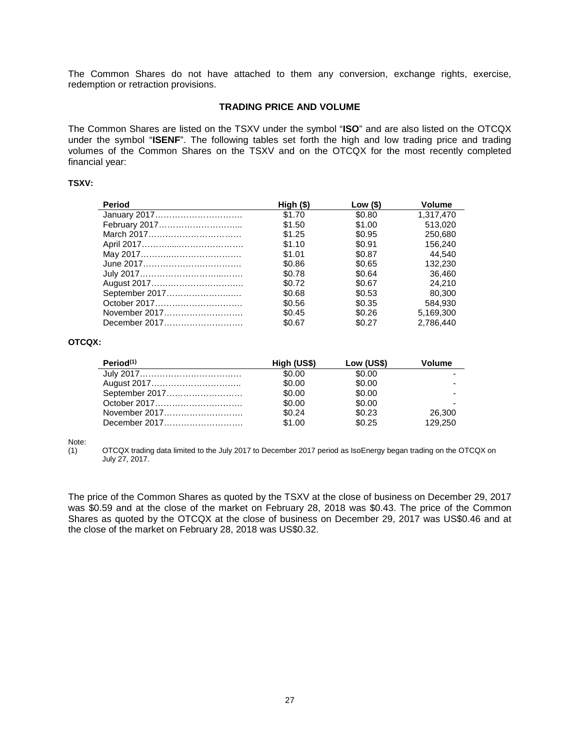The Common Shares do not have attached to them any conversion, exchange rights, exercise, redemption or retraction provisions.

# **TRADING PRICE AND VOLUME**

<span id="page-29-0"></span>The Common Shares are listed on the TSXV under the symbol "**ISO**" and are also listed on the OTCQX under the symbol "**ISENF**". The following tables set forth the high and low trading price and trading volumes of the Common Shares on the TSXV and on the OTCQX for the most recently completed financial year:

#### **TSXV:**

| Period         | High (\$) | Low (\$) | <b>Volume</b> |
|----------------|-----------|----------|---------------|
| January 2017   | \$1.70    | \$0.80   | 1.317.470     |
| February 2017  | \$1.50    | \$1.00   | 513.020       |
| March 2017     | \$1.25    | \$0.95   | 250.680       |
|                | \$1.10    | \$0.91   | 156.240       |
|                | \$1.01    | \$0.87   | 44.540        |
|                | \$0.86    | \$0.65   | 132.230       |
|                | \$0.78    | \$0.64   | 36.460        |
|                | \$0.72    | \$0.67   | 24.210        |
| September 2017 | \$0.68    | \$0.53   | 80,300        |
| October 2017   | \$0.56    | \$0.35   | 584.930       |
| November 2017  | \$0.45    | \$0.26   | 5.169.300     |
| December 2017  | \$0.67    | \$0.27   | 2.786.440     |

#### **OTCQX:**

| Period <sup>(1)</sup> | High (US\$) | Low (US\$) | Volume  |
|-----------------------|-------------|------------|---------|
|                       | \$0.00      | \$0.00     |         |
|                       | \$0.00      | \$0.00     |         |
|                       | \$0.00      | \$0.00     |         |
|                       | \$0.00      | \$0.00     |         |
| November 2017         | \$0.24      | \$0.23     | 26,300  |
| December 2017         | \$1.00      | \$0.25     | 129.250 |

Note:<br>(1)

(1) OTCQX trading data limited to the July 2017 to December 2017 period as IsoEnergy began trading on the OTCQX on July 27, 2017.

The price of the Common Shares as quoted by the TSXV at the close of business on December 29, 2017 was \$0.59 and at the close of the market on February 28, 2018 was \$0.43. The price of the Common Shares as quoted by the OTCQX at the close of business on December 29, 2017 was US\$0.46 and at the close of the market on February 28, 2018 was US\$0.32.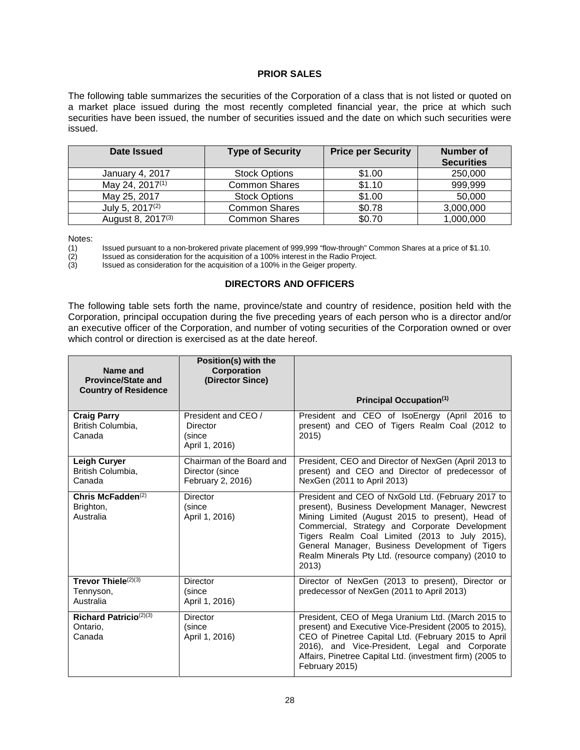# **PRIOR SALES**

<span id="page-30-0"></span>The following table summarizes the securities of the Corporation of a class that is not listed or quoted on a market place issued during the most recently completed financial year, the price at which such securities have been issued, the number of securities issued and the date on which such securities were issued.

| Date Issued                   | <b>Type of Security</b> | <b>Price per Security</b> | <b>Number of</b><br><b>Securities</b> |
|-------------------------------|-------------------------|---------------------------|---------------------------------------|
| <b>January 4, 2017</b>        | <b>Stock Options</b>    | \$1.00                    | 250,000                               |
| May 24, 2017 <sup>(1)</sup>   | <b>Common Shares</b>    | \$1.10                    | 999,999                               |
| May 25, 2017                  | <b>Stock Options</b>    | \$1.00                    | 50,000                                |
| July 5, 2017 <sup>(2)</sup>   | <b>Common Shares</b>    | \$0.78                    | 3,000,000                             |
| August 8, 2017 <sup>(3)</sup> | <b>Common Shares</b>    | \$0.70                    | 1,000,000                             |

Notes:<br>(1) (1) Issued pursuant to a non-brokered private placement of 999,999 "flow-through" Common Shares at a price of \$1.10.<br>
(2) Issued as consideration for the acquisition of a 100% interest in the Radio Project.<br>
(3) Issued as

Issued as consideration for the acquisition of a 100% interest in the Radio Project.

<span id="page-30-1"></span>Issued as consideration for the acquisition of a 100% in the Geiger property.

# **DIRECTORS AND OFFICERS**

The following table sets forth the name, province/state and country of residence, position held with the Corporation, principal occupation during the five preceding years of each person who is a director and/or an executive officer of the Corporation, and number of voting securities of the Corporation owned or over which control or direction is exercised as at the date hereof.

| Name and<br><b>Province/State and</b><br><b>Country of Residence</b> | Position(s) with the<br><b>Corporation</b><br>(Director Since)    |                                                                                                                                                                                                                                                                                                                                                                                   |
|----------------------------------------------------------------------|-------------------------------------------------------------------|-----------------------------------------------------------------------------------------------------------------------------------------------------------------------------------------------------------------------------------------------------------------------------------------------------------------------------------------------------------------------------------|
|                                                                      |                                                                   | Principal Occupation <sup>(1)</sup>                                                                                                                                                                                                                                                                                                                                               |
| <b>Craig Parry</b><br>British Columbia.<br>Canada                    | President and CEO /<br>Director<br>(since<br>April 1, 2016)       | President and CEO of IsoEnergy (April 2016 to<br>present) and CEO of Tigers Realm Coal (2012 to<br>2015)                                                                                                                                                                                                                                                                          |
| Leigh Curyer<br>British Columbia,<br>Canada                          | Chairman of the Board and<br>Director (since<br>February 2, 2016) | President, CEO and Director of NexGen (April 2013 to<br>present) and CEO and Director of predecessor of<br>NexGen (2011 to April 2013)                                                                                                                                                                                                                                            |
| Chris McFadden $(2)$<br>Brighton,<br>Australia                       | <b>Director</b><br>(since<br>April 1, 2016)                       | President and CEO of NxGold Ltd. (February 2017 to<br>present), Business Development Manager, Newcrest<br>Mining Limited (August 2015 to present), Head of<br>Commercial, Strategy and Corporate Development<br>Tigers Realm Coal Limited (2013 to July 2015),<br>General Manager, Business Development of Tigers<br>Realm Minerals Pty Ltd. (resource company) (2010 to<br>2013) |
| Trevor Thiele $(2)(3)$<br>Tennyson,<br>Australia                     | <b>Director</b><br>(since<br>April 1, 2016)                       | Director of NexGen (2013 to present), Director or<br>predecessor of NexGen (2011 to April 2013)                                                                                                                                                                                                                                                                                   |
| Richard Patricio $(2)(3)$<br>Ontario.<br>Canada                      | Director<br>(since<br>April 1, 2016)                              | President, CEO of Mega Uranium Ltd. (March 2015 to<br>present) and Executive Vice-President (2005 to 2015),<br>CEO of Pinetree Capital Ltd. (February 2015 to April<br>2016), and Vice-President, Legal and Corporate<br>Affairs, Pinetree Capital Ltd. (investment firm) (2005 to<br>February 2015)                                                                              |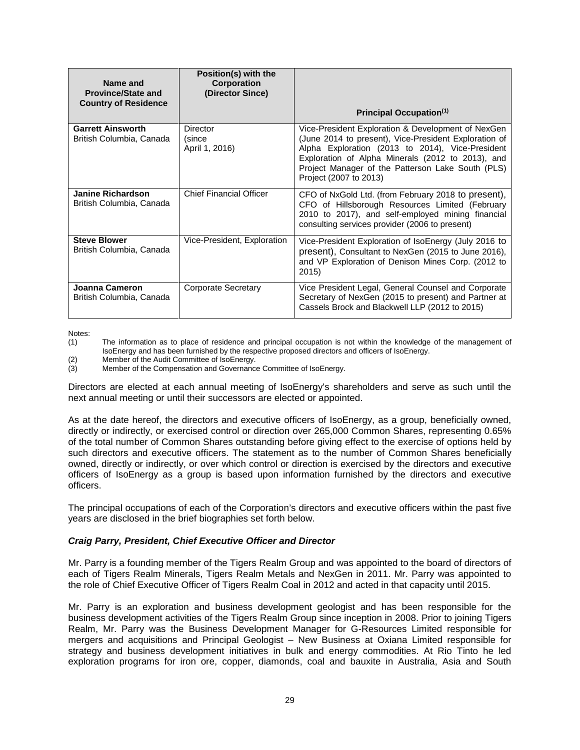| Name and<br><b>Province/State and</b><br><b>Country of Residence</b> | Position(s) with the<br>Corporation<br>(Director Since) |                                                                                                                                                                                                                                                                                                     |
|----------------------------------------------------------------------|---------------------------------------------------------|-----------------------------------------------------------------------------------------------------------------------------------------------------------------------------------------------------------------------------------------------------------------------------------------------------|
|                                                                      |                                                         | Principal Occupation <sup>(1)</sup>                                                                                                                                                                                                                                                                 |
| <b>Garrett Ainsworth</b><br>British Columbia, Canada                 | Director<br>(since<br>April 1, 2016)                    | Vice-President Exploration & Development of NexGen<br>(June 2014 to present), Vice-President Exploration of<br>Alpha Exploration (2013 to 2014), Vice-President<br>Exploration of Alpha Minerals (2012 to 2013), and<br>Project Manager of the Patterson Lake South (PLS)<br>Project (2007 to 2013) |
| <b>Janine Richardson</b><br>British Columbia, Canada                 | <b>Chief Financial Officer</b>                          | CFO of NxGold Ltd. (from February 2018 to present),<br>CFO of Hillsborough Resources Limited (February<br>2010 to 2017), and self-employed mining financial<br>consulting services provider (2006 to present)                                                                                       |
| <b>Steve Blower</b><br>British Columbia, Canada                      | Vice-President, Exploration                             | Vice-President Exploration of IsoEnergy (July 2016 to<br>present), Consultant to NexGen (2015 to June 2016),<br>and VP Exploration of Denison Mines Corp. (2012 to<br>2015)                                                                                                                         |
| Joanna Cameron<br>British Columbia, Canada                           | Corporate Secretary                                     | Vice President Legal, General Counsel and Corporate<br>Secretary of NexGen (2015 to present) and Partner at<br>Cassels Brock and Blackwell LLP (2012 to 2015)                                                                                                                                       |

Notes:<br>(1)

(2) Member of the Audit Committee of IsoEnergy.<br>(3) Member of the Compensation and Governanc

Member of the Compensation and Governance Committee of IsoEnergy.

Directors are elected at each annual meeting of IsoEnergy's shareholders and serve as such until the next annual meeting or until their successors are elected or appointed.

As at the date hereof, the directors and executive officers of IsoEnergy, as a group, beneficially owned, directly or indirectly, or exercised control or direction over 265,000 Common Shares, representing 0.65% of the total number of Common Shares outstanding before giving effect to the exercise of options held by such directors and executive officers. The statement as to the number of Common Shares beneficially owned, directly or indirectly, or over which control or direction is exercised by the directors and executive officers of IsoEnergy as a group is based upon information furnished by the directors and executive officers.

The principal occupations of each of the Corporation's directors and executive officers within the past five years are disclosed in the brief biographies set forth below.

# *Craig Parry, President, Chief Executive Officer and Director*

Mr. Parry is a founding member of the Tigers Realm Group and was appointed to the board of directors of each of Tigers Realm Minerals, Tigers Realm Metals and NexGen in 2011. Mr. Parry was appointed to the role of Chief Executive Officer of Tigers Realm Coal in 2012 and acted in that capacity until 2015.

Mr. Parry is an exploration and business development geologist and has been responsible for the business development activities of the Tigers Realm Group since inception in 2008. Prior to joining Tigers Realm, Mr. Parry was the Business Development Manager for G-Resources Limited responsible for mergers and acquisitions and Principal Geologist – New Business at Oxiana Limited responsible for strategy and business development initiatives in bulk and energy commodities. At Rio Tinto he led exploration programs for iron ore, copper, diamonds, coal and bauxite in Australia, Asia and South

The information as to place of residence and principal occupation is not within the knowledge of the management of IsoEnergy and has been furnished by the respective proposed directors and officers of IsoEnergy.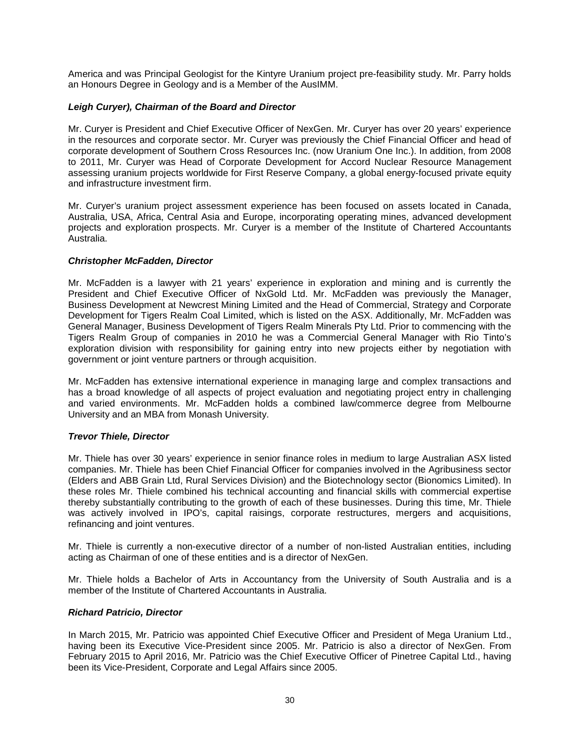America and was Principal Geologist for the Kintyre Uranium project pre-feasibility study. Mr. Parry holds an Honours Degree in Geology and is a Member of the AusIMM.

# *Leigh Curyer), Chairman of the Board and Director*

Mr. Curyer is President and Chief Executive Officer of NexGen. Mr. Curyer has over 20 years' experience in the resources and corporate sector. Mr. Curyer was previously the Chief Financial Officer and head of corporate development of Southern Cross Resources Inc. (now Uranium One Inc.). In addition, from 2008 to 2011, Mr. Curyer was Head of Corporate Development for Accord Nuclear Resource Management assessing uranium projects worldwide for First Reserve Company, a global energy-focused private equity and infrastructure investment firm.

Mr. Curyer's uranium project assessment experience has been focused on assets located in Canada, Australia, USA, Africa, Central Asia and Europe, incorporating operating mines, advanced development projects and exploration prospects. Mr. Curyer is a member of the Institute of Chartered Accountants Australia.

# *Christopher McFadden, Director*

Mr. McFadden is a lawyer with 21 years' experience in exploration and mining and is currently the President and Chief Executive Officer of NxGold Ltd. Mr. McFadden was previously the Manager, Business Development at Newcrest Mining Limited and the Head of Commercial, Strategy and Corporate Development for Tigers Realm Coal Limited, which is listed on the ASX. Additionally, Mr. McFadden was General Manager, Business Development of Tigers Realm Minerals Pty Ltd. Prior to commencing with the Tigers Realm Group of companies in 2010 he was a Commercial General Manager with Rio Tinto's exploration division with responsibility for gaining entry into new projects either by negotiation with government or joint venture partners or through acquisition.

Mr. McFadden has extensive international experience in managing large and complex transactions and has a broad knowledge of all aspects of project evaluation and negotiating project entry in challenging and varied environments. Mr. McFadden holds a combined law/commerce degree from Melbourne University and an MBA from Monash University.

# *Trevor Thiele, Director*

Mr. Thiele has over 30 years' experience in senior finance roles in medium to large Australian ASX listed companies. Mr. Thiele has been Chief Financial Officer for companies involved in the Agribusiness sector (Elders and ABB Grain Ltd, Rural Services Division) and the Biotechnology sector (Bionomics Limited). In these roles Mr. Thiele combined his technical accounting and financial skills with commercial expertise thereby substantially contributing to the growth of each of these businesses. During this time, Mr. Thiele was actively involved in IPO's, capital raisings, corporate restructures, mergers and acquisitions, refinancing and joint ventures.

Mr. Thiele is currently a non-executive director of a number of non-listed Australian entities, including acting as Chairman of one of these entities and is a director of NexGen.

Mr. Thiele holds a Bachelor of Arts in Accountancy from the University of South Australia and is a member of the Institute of Chartered Accountants in Australia.

# *Richard Patricio, Director*

In March 2015, Mr. Patricio was appointed Chief Executive Officer and President of Mega Uranium Ltd., having been its Executive Vice-President since 2005. Mr. Patricio is also a director of NexGen. From February 2015 to April 2016, Mr. Patricio was the Chief Executive Officer of Pinetree Capital Ltd., having been its Vice-President, Corporate and Legal Affairs since 2005.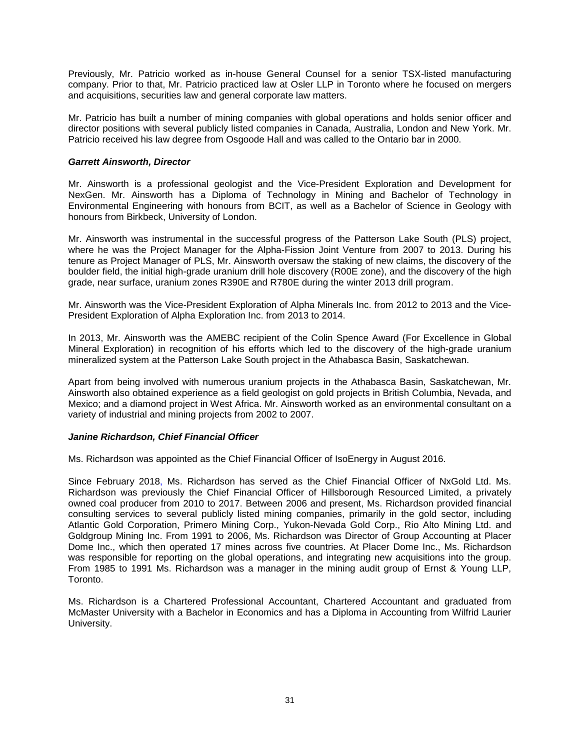Previously, Mr. Patricio worked as in-house General Counsel for a senior TSX-listed manufacturing company. Prior to that, Mr. Patricio practiced law at Osler LLP in Toronto where he focused on mergers and acquisitions, securities law and general corporate law matters.

Mr. Patricio has built a number of mining companies with global operations and holds senior officer and director positions with several publicly listed companies in Canada, Australia, London and New York. Mr. Patricio received his law degree from Osgoode Hall and was called to the Ontario bar in 2000.

# *Garrett Ainsworth, Director*

Mr. Ainsworth is a professional geologist and the Vice-President Exploration and Development for NexGen. Mr. Ainsworth has a Diploma of Technology in Mining and Bachelor of Technology in Environmental Engineering with honours from BCIT, as well as a Bachelor of Science in Geology with honours from Birkbeck, University of London.

Mr. Ainsworth was instrumental in the successful progress of the Patterson Lake South (PLS) project, where he was the Project Manager for the Alpha-Fission Joint Venture from 2007 to 2013. During his tenure as Project Manager of PLS, Mr. Ainsworth oversaw the staking of new claims, the discovery of the boulder field, the initial high-grade uranium drill hole discovery (R00E zone), and the discovery of the high grade, near surface, uranium zones R390E and R780E during the winter 2013 drill program.

Mr. Ainsworth was the Vice-President Exploration of Alpha Minerals Inc. from 2012 to 2013 and the Vice-President Exploration of Alpha Exploration Inc. from 2013 to 2014.

In 2013, Mr. Ainsworth was the AMEBC recipient of the Colin Spence Award (For Excellence in Global Mineral Exploration) in recognition of his efforts which led to the discovery of the high-grade uranium mineralized system at the Patterson Lake South project in the Athabasca Basin, Saskatchewan.

Apart from being involved with numerous uranium projects in the Athabasca Basin, Saskatchewan, Mr. Ainsworth also obtained experience as a field geologist on gold projects in British Columbia, Nevada, and Mexico; and a diamond project in West Africa. Mr. Ainsworth worked as an environmental consultant on a variety of industrial and mining projects from 2002 to 2007.

# *Janine Richardson, Chief Financial Officer*

Ms. Richardson was appointed as the Chief Financial Officer of IsoEnergy in August 2016.

Since February 2018, Ms. Richardson has served as the Chief Financial Officer of NxGold Ltd. Ms. Richardson was previously the Chief Financial Officer of Hillsborough Resourced Limited, a privately owned coal producer from 2010 to 2017. Between 2006 and present, Ms. Richardson provided financial consulting services to several publicly listed mining companies, primarily in the gold sector, including Atlantic Gold Corporation, Primero Mining Corp., Yukon-Nevada Gold Corp., Rio Alto Mining Ltd. and Goldgroup Mining Inc. From 1991 to 2006, Ms. Richardson was Director of Group Accounting at Placer Dome Inc., which then operated 17 mines across five countries. At Placer Dome Inc., Ms. Richardson was responsible for reporting on the global operations, and integrating new acquisitions into the group. From 1985 to 1991 Ms. Richardson was a manager in the mining audit group of Ernst & Young LLP, Toronto.

Ms. Richardson is a Chartered Professional Accountant, Chartered Accountant and graduated from McMaster University with a Bachelor in Economics and has a Diploma in Accounting from Wilfrid Laurier University.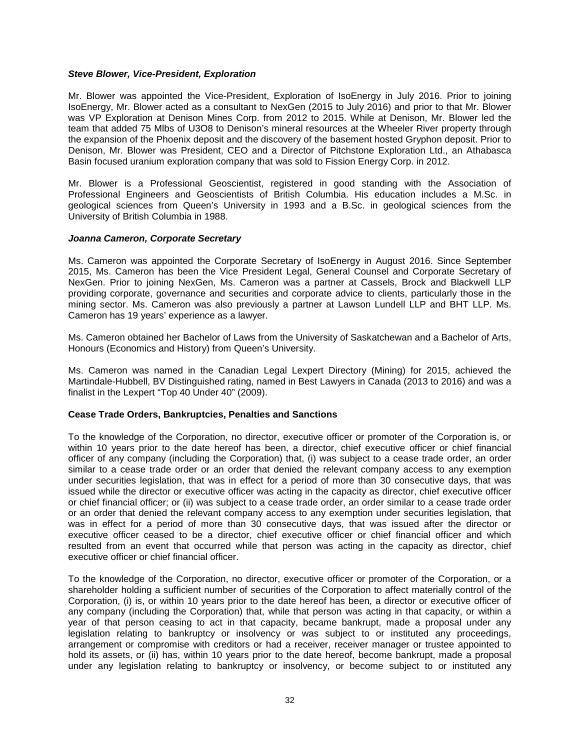# *Steve Blower, Vice-President, Exploration*

Mr. Blower was appointed the Vice-President, Exploration of IsoEnergy in July 2016. Prior to joining IsoEnergy, Mr. Blower acted as a consultant to NexGen (2015 to July 2016) and prior to that Mr. Blower was VP Exploration at Denison Mines Corp. from 2012 to 2015. While at Denison, Mr. Blower led the team that added 75 Mlbs of U3O8 to Denison's mineral resources at the Wheeler River property through the expansion of the Phoenix deposit and the discovery of the basement hosted Gryphon deposit. Prior to Denison, Mr. Blower was President, CEO and a Director of Pitchstone Exploration Ltd., an Athabasca Basin focused uranium exploration company that was sold to Fission Energy Corp. in 2012.

Mr. Blower is a Professional Geoscientist, registered in good standing with the Association of Professional Engineers and Geoscientists of British Columbia. His education includes a M.Sc. in geological sciences from Queen's University in 1993 and a B.Sc. in geological sciences from the University of British Columbia in 1988.

# *Joanna Cameron, Corporate Secretary*

Ms. Cameron was appointed the Corporate Secretary of IsoEnergy in August 2016. Since September 2015, Ms. Cameron has been the Vice President Legal, General Counsel and Corporate Secretary of NexGen. Prior to joining NexGen, Ms. Cameron was a partner at Cassels, Brock and Blackwell LLP providing corporate, governance and securities and corporate advice to clients, particularly those in the mining sector. Ms. Cameron was also previously a partner at Lawson Lundell LLP and BHT LLP. Ms. Cameron has 19 years' experience as a lawyer.

Ms. Cameron obtained her Bachelor of Laws from the University of Saskatchewan and a Bachelor of Arts, Honours (Economics and History) from Queen's University.

Ms. Cameron was named in the Canadian Legal Lexpert Directory (Mining) for 2015, achieved the Martindale-Hubbell, BV Distinguished rating, named in Best Lawyers in Canada (2013 to 2016) and was a finalist in the Lexpert "Top 40 Under 40" (2009).

# <span id="page-34-0"></span>**Cease Trade Orders, Bankruptcies, Penalties and Sanctions**

To the knowledge of the Corporation, no director, executive officer or promoter of the Corporation is, or within 10 years prior to the date hereof has been, a director, chief executive officer or chief financial officer of any company (including the Corporation) that, (i) was subject to a cease trade order, an order similar to a cease trade order or an order that denied the relevant company access to any exemption under securities legislation, that was in effect for a period of more than 30 consecutive days, that was issued while the director or executive officer was acting in the capacity as director, chief executive officer or chief financial officer; or (ii) was subject to a cease trade order, an order similar to a cease trade order or an order that denied the relevant company access to any exemption under securities legislation, that was in effect for a period of more than 30 consecutive days, that was issued after the director or executive officer ceased to be a director, chief executive officer or chief financial officer and which resulted from an event that occurred while that person was acting in the capacity as director, chief executive officer or chief financial officer.

To the knowledge of the Corporation, no director, executive officer or promoter of the Corporation, or a shareholder holding a sufficient number of securities of the Corporation to affect materially control of the Corporation, (i) is, or within 10 years prior to the date hereof has been, a director or executive officer of any company (including the Corporation) that, while that person was acting in that capacity, or within a year of that person ceasing to act in that capacity, became bankrupt, made a proposal under any legislation relating to bankruptcy or insolvency or was subject to or instituted any proceedings, arrangement or compromise with creditors or had a receiver, receiver manager or trustee appointed to hold its assets, or (ii) has, within 10 years prior to the date hereof, become bankrupt, made a proposal under any legislation relating to bankruptcy or insolvency, or become subject to or instituted any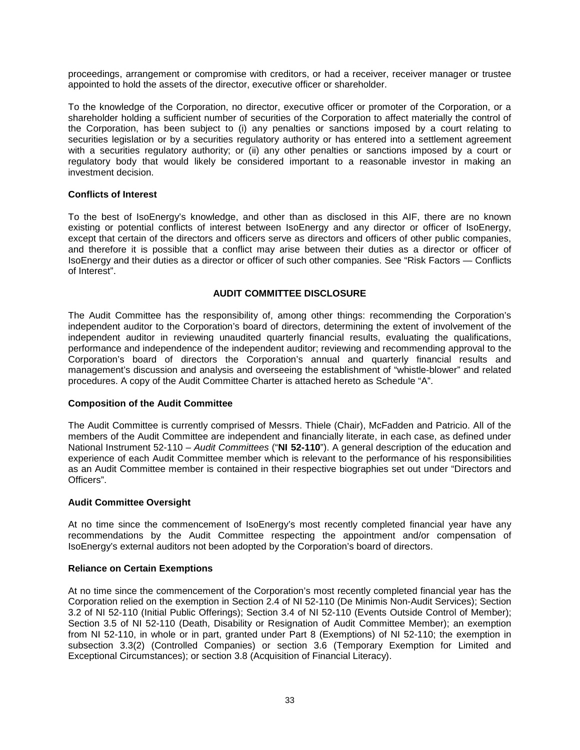proceedings, arrangement or compromise with creditors, or had a receiver, receiver manager or trustee appointed to hold the assets of the director, executive officer or shareholder.

To the knowledge of the Corporation, no director, executive officer or promoter of the Corporation, or a shareholder holding a sufficient number of securities of the Corporation to affect materially the control of the Corporation, has been subject to (i) any penalties or sanctions imposed by a court relating to securities legislation or by a securities regulatory authority or has entered into a settlement agreement with a securities regulatory authority; or (ii) any other penalties or sanctions imposed by a court or regulatory body that would likely be considered important to a reasonable investor in making an investment decision.

# <span id="page-35-0"></span>**Conflicts of Interest**

To the best of IsoEnergy's knowledge, and other than as disclosed in this AIF, there are no known existing or potential conflicts of interest between IsoEnergy and any director or officer of IsoEnergy, except that certain of the directors and officers serve as directors and officers of other public companies, and therefore it is possible that a conflict may arise between their duties as a director or officer of IsoEnergy and their duties as a director or officer of such other companies. See "Risk Factors — Conflicts of Interest".

# **AUDIT COMMITTEE DISCLOSURE**

<span id="page-35-1"></span>The Audit Committee has the responsibility of, among other things: recommending the Corporation's independent auditor to the Corporation's board of directors, determining the extent of involvement of the independent auditor in reviewing unaudited quarterly financial results, evaluating the qualifications, performance and independence of the independent auditor; reviewing and recommending approval to the Corporation's board of directors the Corporation's annual and quarterly financial results and management's discussion and analysis and overseeing the establishment of "whistle-blower" and related procedures. A copy of the Audit Committee Charter is attached hereto as Schedule "A".

# <span id="page-35-2"></span>**Composition of the Audit Committee**

The Audit Committee is currently comprised of Messrs. Thiele (Chair), McFadden and Patricio. All of the members of the Audit Committee are independent and financially literate, in each case, as defined under National Instrument 52-110 – *Audit Committees* ("**NI 52-110**"). A general description of the education and experience of each Audit Committee member which is relevant to the performance of his responsibilities as an Audit Committee member is contained in their respective biographies set out under "Directors and Officers".

# <span id="page-35-3"></span>**Audit Committee Oversight**

At no time since the commencement of IsoEnergy's most recently completed financial year have any recommendations by the Audit Committee respecting the appointment and/or compensation of IsoEnergy's external auditors not been adopted by the Corporation's board of directors.

# <span id="page-35-4"></span>**Reliance on Certain Exemptions**

At no time since the commencement of the Corporation's most recently completed financial year has the Corporation relied on the exemption in Section 2.4 of NI 52-110 (De Minimis Non-Audit Services); Section 3.2 of NI 52-110 (Initial Public Offerings); Section 3.4 of NI 52-110 (Events Outside Control of Member); Section 3.5 of NI 52-110 (Death, Disability or Resignation of Audit Committee Member); an exemption from NI 52-110, in whole or in part, granted under Part 8 (Exemptions) of NI 52-110; the exemption in subsection 3.3(2) (Controlled Companies) or section 3.6 (Temporary Exemption for Limited and Exceptional Circumstances); or section 3.8 (Acquisition of Financial Literacy).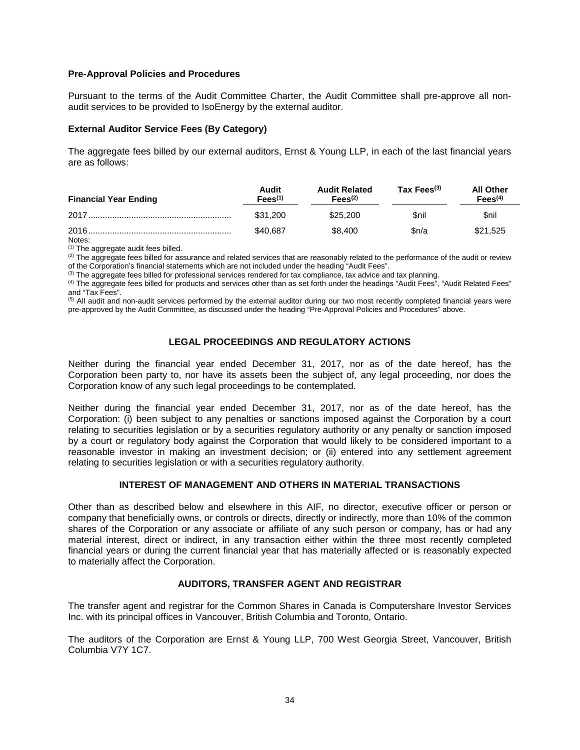# <span id="page-36-0"></span>**Pre-Approval Policies and Procedures**

Pursuant to the terms of the Audit Committee Charter, the Audit Committee shall pre-approve all nonaudit services to be provided to IsoEnergy by the external auditor.

#### <span id="page-36-1"></span>**External Auditor Service Fees (By Category)**

The aggregate fees billed by our external auditors, Ernst & Young LLP, in each of the last financial years are as follows:

| <b>Financial Year Ending</b> | Audit<br>Fees <sup>(1)</sup> | <b>Audit Related</b><br>Fees <sup>(2)</sup> | Tax Fees $(3)$ | <b>All Other</b><br>Fees <sup>(4)</sup> |
|------------------------------|------------------------------|---------------------------------------------|----------------|-----------------------------------------|
|                              | \$31,200                     | \$25,200                                    | <b>Snil</b>    | Snil                                    |
| 2016.<br>Notes:              | \$40.687                     | \$8,400                                     | Sn/a           | \$21.525                                |

(1) The aggregate audit fees billed.

 $(2)$  The aggregate fees billed for assurance and related services that are reasonably related to the performance of the audit or review of the Corporation's financial statements which are not included under the heading "Audit Fees".

 $(3)$  The aggregate fees billed for professional services rendered for tax compliance, tax advice and tax planning.

(4) The aggregate fees billed for products and services other than as set forth under the headings "Audit Fees", "Audit Related Fees" and "Tax Fees".

<sup>(5)</sup> All audit and non-audit services performed by the external auditor during our two most recently completed financial years were pre-approved by the Audit Committee, as discussed under the heading "Pre-Approval Policies and Procedures" above.

# **LEGAL PROCEEDINGS AND REGULATORY ACTIONS**

<span id="page-36-2"></span>Neither during the financial year ended December 31, 2017, nor as of the date hereof, has the Corporation been party to, nor have its assets been the subject of, any legal proceeding, nor does the Corporation know of any such legal proceedings to be contemplated.

Neither during the financial year ended December 31, 2017, nor as of the date hereof, has the Corporation: (i) been subject to any penalties or sanctions imposed against the Corporation by a court relating to securities legislation or by a securities regulatory authority or any penalty or sanction imposed by a court or regulatory body against the Corporation that would likely to be considered important to a reasonable investor in making an investment decision; or (ii) entered into any settlement agreement relating to securities legislation or with a securities regulatory authority.

# **INTEREST OF MANAGEMENT AND OTHERS IN MATERIAL TRANSACTIONS**

<span id="page-36-3"></span>Other than as described below and elsewhere in this AIF, no director, executive officer or person or company that beneficially owns, or controls or directs, directly or indirectly, more than 10% of the common shares of the Corporation or any associate or affiliate of any such person or company, has or had any material interest, direct or indirect, in any transaction either within the three most recently completed financial years or during the current financial year that has materially affected or is reasonably expected to materially affect the Corporation.

# **AUDITORS, TRANSFER AGENT AND REGISTRAR**

<span id="page-36-4"></span>The transfer agent and registrar for the Common Shares in Canada is Computershare Investor Services Inc. with its principal offices in Vancouver, British Columbia and Toronto, Ontario.

The auditors of the Corporation are Ernst & Young LLP, 700 West Georgia Street, Vancouver, British Columbia V7Y 1C7.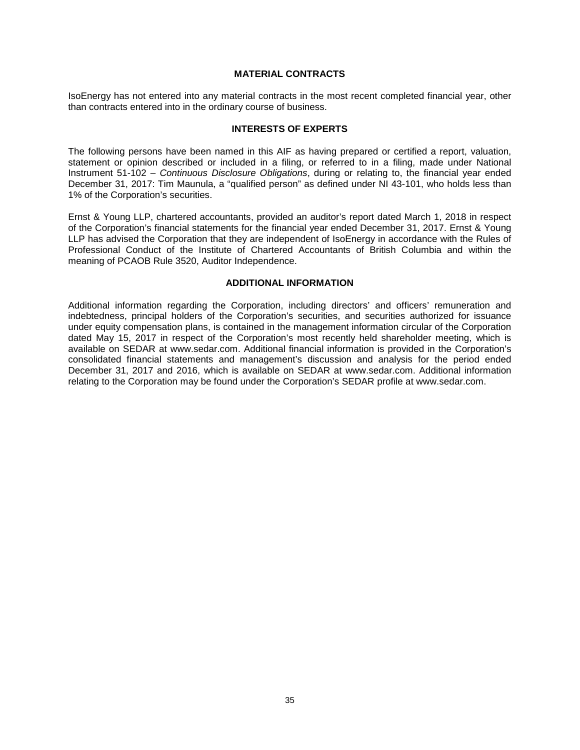#### **MATERIAL CONTRACTS**

<span id="page-37-0"></span>IsoEnergy has not entered into any material contracts in the most recent completed financial year, other than contracts entered into in the ordinary course of business.

#### **INTERESTS OF EXPERTS**

<span id="page-37-1"></span>The following persons have been named in this AIF as having prepared or certified a report, valuation, statement or opinion described or included in a filing, or referred to in a filing, made under National Instrument 51-102 – *Continuous Disclosure Obligations*, during or relating to, the financial year ended December 31, 2017: Tim Maunula, a "qualified person" as defined under NI 43-101, who holds less than 1% of the Corporation's securities.

Ernst & Young LLP, chartered accountants, provided an auditor's report dated March 1, 2018 in respect of the Corporation's financial statements for the financial year ended December 31, 2017. Ernst & Young LLP has advised the Corporation that they are independent of IsoEnergy in accordance with the Rules of Professional Conduct of the Institute of Chartered Accountants of British Columbia and within the meaning of PCAOB Rule 3520, Auditor Independence.

#### **ADDITIONAL INFORMATION**

<span id="page-37-2"></span>Additional information regarding the Corporation, including directors' and officers' remuneration and indebtedness, principal holders of the Corporation's securities, and securities authorized for issuance under equity compensation plans, is contained in the management information circular of the Corporation dated May 15, 2017 in respect of the Corporation's most recently held shareholder meeting, which is available on SEDAR at www.sedar.com. Additional financial information is provided in the Corporation's consolidated financial statements and management's discussion and analysis for the period ended December 31, 2017 and 2016, which is available on SEDAR at www.sedar.com. Additional information relating to the Corporation may be found under the Corporation's SEDAR profile at [www.sedar.com.](http://www.sedar.com/)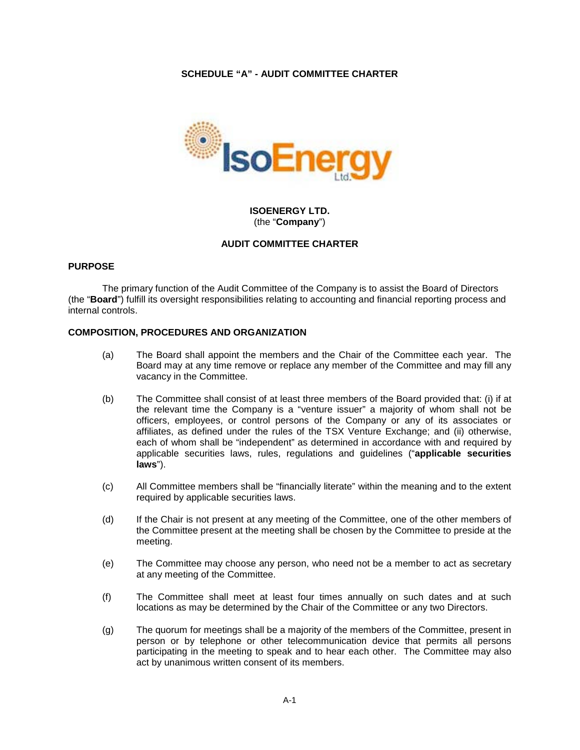# **SCHEDULE "A" - AUDIT COMMITTEE CHARTER**

<span id="page-38-0"></span>

# **ISOENERGY LTD.** (the "**Company**")

# **AUDIT COMMITTEE CHARTER**

# **PURPOSE**

The primary function of the Audit Committee of the Company is to assist the Board of Directors (the "**Board**") fulfill its oversight responsibilities relating to accounting and financial reporting process and internal controls.

#### **COMPOSITION, PROCEDURES AND ORGANIZATION**

- (a) The Board shall appoint the members and the Chair of the Committee each year. The Board may at any time remove or replace any member of the Committee and may fill any vacancy in the Committee.
- (b) The Committee shall consist of at least three members of the Board provided that: (i) if at the relevant time the Company is a "venture issuer" a majority of whom shall not be officers, employees, or control persons of the Company or any of its associates or affiliates, as defined under the rules of the TSX Venture Exchange; and (ii) otherwise, each of whom shall be "independent" as determined in accordance with and required by applicable securities laws, rules, regulations and guidelines ("**applicable securities laws**").
- (c) All Committee members shall be "financially literate" within the meaning and to the extent required by applicable securities laws.
- (d) If the Chair is not present at any meeting of the Committee, one of the other members of the Committee present at the meeting shall be chosen by the Committee to preside at the meeting.
- (e) The Committee may choose any person, who need not be a member to act as secretary at any meeting of the Committee.
- (f) The Committee shall meet at least four times annually on such dates and at such locations as may be determined by the Chair of the Committee or any two Directors.
- (g) The quorum for meetings shall be a majority of the members of the Committee, present in person or by telephone or other telecommunication device that permits all persons participating in the meeting to speak and to hear each other. The Committee may also act by unanimous written consent of its members.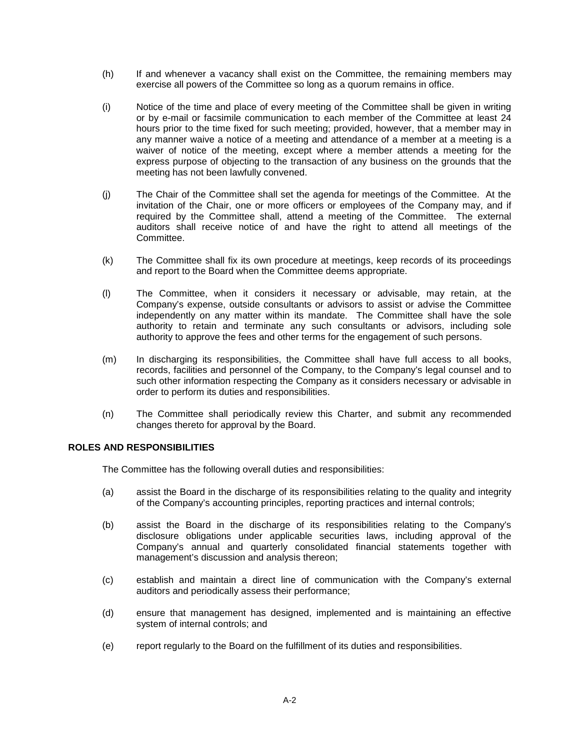- (h) If and whenever a vacancy shall exist on the Committee, the remaining members may exercise all powers of the Committee so long as a quorum remains in office.
- (i) Notice of the time and place of every meeting of the Committee shall be given in writing or by e-mail or facsimile communication to each member of the Committee at least 24 hours prior to the time fixed for such meeting; provided, however, that a member may in any manner waive a notice of a meeting and attendance of a member at a meeting is a waiver of notice of the meeting, except where a member attends a meeting for the express purpose of objecting to the transaction of any business on the grounds that the meeting has not been lawfully convened.
- (j) The Chair of the Committee shall set the agenda for meetings of the Committee. At the invitation of the Chair, one or more officers or employees of the Company may, and if required by the Committee shall, attend a meeting of the Committee. The external auditors shall receive notice of and have the right to attend all meetings of the Committee.
- (k) The Committee shall fix its own procedure at meetings, keep records of its proceedings and report to the Board when the Committee deems appropriate.
- (l) The Committee, when it considers it necessary or advisable, may retain, at the Company's expense, outside consultants or advisors to assist or advise the Committee independently on any matter within its mandate. The Committee shall have the sole authority to retain and terminate any such consultants or advisors, including sole authority to approve the fees and other terms for the engagement of such persons.
- (m) In discharging its responsibilities, the Committee shall have full access to all books, records, facilities and personnel of the Company, to the Company's legal counsel and to such other information respecting the Company as it considers necessary or advisable in order to perform its duties and responsibilities.
- (n) The Committee shall periodically review this Charter, and submit any recommended changes thereto for approval by the Board.

# **ROLES AND RESPONSIBILITIES**

The Committee has the following overall duties and responsibilities:

- (a) assist the Board in the discharge of its responsibilities relating to the quality and integrity of the Company's accounting principles, reporting practices and internal controls;
- (b) assist the Board in the discharge of its responsibilities relating to the Company's disclosure obligations under applicable securities laws, including approval of the Company's annual and quarterly consolidated financial statements together with management's discussion and analysis thereon;
- (c) establish and maintain a direct line of communication with the Company's external auditors and periodically assess their performance;
- (d) ensure that management has designed, implemented and is maintaining an effective system of internal controls; and
- (e) report regularly to the Board on the fulfillment of its duties and responsibilities.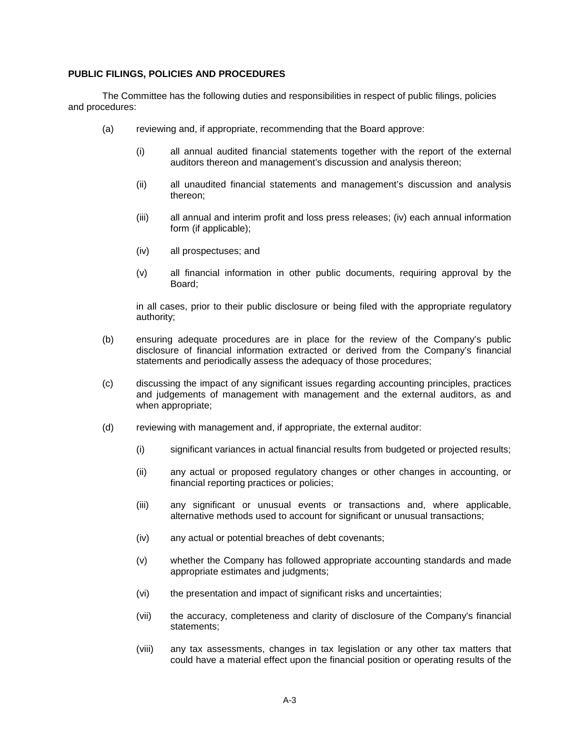# **PUBLIC FILINGS, POLICIES AND PROCEDURES**

The Committee has the following duties and responsibilities in respect of public filings, policies and procedures:

- (a) reviewing and, if appropriate, recommending that the Board approve:
	- (i) all annual audited financial statements together with the report of the external auditors thereon and management's discussion and analysis thereon;
	- (ii) all unaudited financial statements and management's discussion and analysis thereon;
	- (iii) all annual and interim profit and loss press releases; (iv) each annual information form (if applicable);
	- (iv) all prospectuses; and
	- (v) all financial information in other public documents, requiring approval by the Board;

in all cases, prior to their public disclosure or being filed with the appropriate regulatory authority;

- (b) ensuring adequate procedures are in place for the review of the Company's public disclosure of financial information extracted or derived from the Company's financial statements and periodically assess the adequacy of those procedures;
- (c) discussing the impact of any significant issues regarding accounting principles, practices and judgements of management with management and the external auditors, as and when appropriate;
- (d) reviewing with management and, if appropriate, the external auditor:
	- (i) significant variances in actual financial results from budgeted or projected results;
	- (ii) any actual or proposed regulatory changes or other changes in accounting, or financial reporting practices or policies;
	- (iii) any significant or unusual events or transactions and, where applicable, alternative methods used to account for significant or unusual transactions;
	- (iv) any actual or potential breaches of debt covenants;
	- (v) whether the Company has followed appropriate accounting standards and made appropriate estimates and judgments;
	- (vi) the presentation and impact of significant risks and uncertainties;
	- (vii) the accuracy, completeness and clarity of disclosure of the Company's financial statements;
	- (viii) any tax assessments, changes in tax legislation or any other tax matters that could have a material effect upon the financial position or operating results of the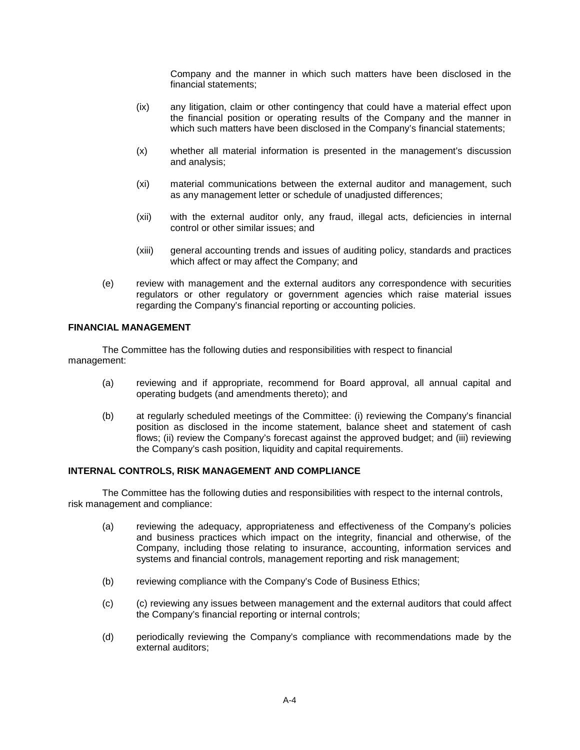Company and the manner in which such matters have been disclosed in the financial statements;

- (ix) any litigation, claim or other contingency that could have a material effect upon the financial position or operating results of the Company and the manner in which such matters have been disclosed in the Company's financial statements;
- (x) whether all material information is presented in the management's discussion and analysis;
- (xi) material communications between the external auditor and management, such as any management letter or schedule of unadjusted differences;
- (xii) with the external auditor only, any fraud, illegal acts, deficiencies in internal control or other similar issues; and
- (xiii) general accounting trends and issues of auditing policy, standards and practices which affect or may affect the Company; and
- (e) review with management and the external auditors any correspondence with securities regulators or other regulatory or government agencies which raise material issues regarding the Company's financial reporting or accounting policies.

# **FINANCIAL MANAGEMENT**

The Committee has the following duties and responsibilities with respect to financial management:

- (a) reviewing and if appropriate, recommend for Board approval, all annual capital and operating budgets (and amendments thereto); and
- (b) at regularly scheduled meetings of the Committee: (i) reviewing the Company's financial position as disclosed in the income statement, balance sheet and statement of cash flows; (ii) review the Company's forecast against the approved budget; and (iii) reviewing the Company's cash position, liquidity and capital requirements.

# **INTERNAL CONTROLS, RISK MANAGEMENT AND COMPLIANCE**

The Committee has the following duties and responsibilities with respect to the internal controls, risk management and compliance:

- (a) reviewing the adequacy, appropriateness and effectiveness of the Company's policies and business practices which impact on the integrity, financial and otherwise, of the Company, including those relating to insurance, accounting, information services and systems and financial controls, management reporting and risk management;
- (b) reviewing compliance with the Company's Code of Business Ethics;
- (c) (c) reviewing any issues between management and the external auditors that could affect the Company's financial reporting or internal controls;
- (d) periodically reviewing the Company's compliance with recommendations made by the external auditors;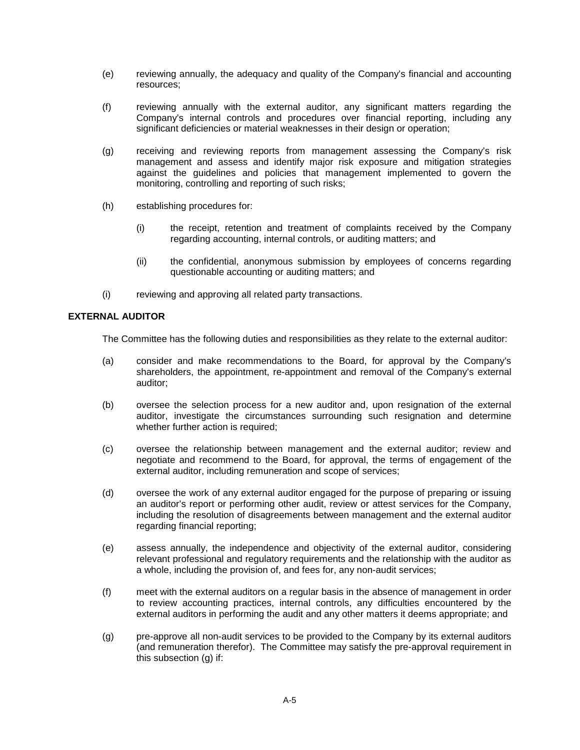- (e) reviewing annually, the adequacy and quality of the Company's financial and accounting resources;
- (f) reviewing annually with the external auditor, any significant matters regarding the Company's internal controls and procedures over financial reporting, including any significant deficiencies or material weaknesses in their design or operation;
- (g) receiving and reviewing reports from management assessing the Company's risk management and assess and identify major risk exposure and mitigation strategies against the guidelines and policies that management implemented to govern the monitoring, controlling and reporting of such risks;
- (h) establishing procedures for:
	- (i) the receipt, retention and treatment of complaints received by the Company regarding accounting, internal controls, or auditing matters; and
	- (ii) the confidential, anonymous submission by employees of concerns regarding questionable accounting or auditing matters; and
- (i) reviewing and approving all related party transactions.

# **EXTERNAL AUDITOR**

The Committee has the following duties and responsibilities as they relate to the external auditor:

- (a) consider and make recommendations to the Board, for approval by the Company's shareholders, the appointment, re-appointment and removal of the Company's external auditor;
- (b) oversee the selection process for a new auditor and, upon resignation of the external auditor, investigate the circumstances surrounding such resignation and determine whether further action is required;
- (c) oversee the relationship between management and the external auditor; review and negotiate and recommend to the Board, for approval, the terms of engagement of the external auditor, including remuneration and scope of services;
- (d) oversee the work of any external auditor engaged for the purpose of preparing or issuing an auditor's report or performing other audit, review or attest services for the Company, including the resolution of disagreements between management and the external auditor regarding financial reporting;
- (e) assess annually, the independence and objectivity of the external auditor, considering relevant professional and regulatory requirements and the relationship with the auditor as a whole, including the provision of, and fees for, any non-audit services;
- (f) meet with the external auditors on a regular basis in the absence of management in order to review accounting practices, internal controls, any difficulties encountered by the external auditors in performing the audit and any other matters it deems appropriate; and
- <span id="page-42-0"></span>(g) pre-approve all non-audit services to be provided to the Company by its external auditors (and remuneration therefor). The Committee may satisfy the pre-approval requirement in this subsection [\(g\)](#page-42-0) if: